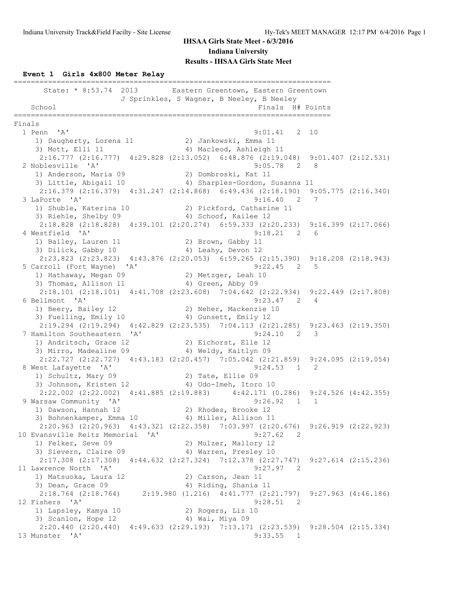#### **Event 1 Girls 4x800 Meter Relay**

========================================================================== State: \* 8:53.74 2013 Eastern Greentown, Eastern Greentown J Sprinkles, S Wagner, B Neeley, B Neeley School Finals H# Points ========================================================================== Finals<br>1 Penn 'A'  $9:01.41$  2 10 1) Daugherty, Lorena 11 2) Jankowski, Emma 11 3) Mott, Elli 11 4) Macleod, Ashleigh 11 2:16.777 (2:16.777) 4:29.828 (2:13.052) 6:48.876 (2:19.048) 9:01.407 (2:12.531) 2 Noblesville 'A' 9:05.78 2 8 1) Anderson, Maria 09 2) Dombroski, Kat 11 3) Little, Abigail 10 4) Sharples-Gordon, Susanna 11 2:16.379 (2:16.379) 4:31.247 (2:14.868) 6:49.436 (2:18.190) 9:05.775 (2:16.340) 3 LaPorte 'A' 9:16.40 2 7 1) Shuble, Katerina 10 2) Pickford, Catharine 11 3) Riehle, Shelby 09 4) Schoof, Kailee 12 2:18.828 (2:18.828) 4:39.101 (2:20.274) 6:59.333 (2:20.233) 9:16.399 (2:17.066) 4 Westfield 'A' 9:18.21 2 6 1) Bailey, Lauren 11 2) Brown, Gabby 11 3) Dilick, Gabby 10 4) Leahy, Devon 12 2:23.823 (2:23.823) 4:43.876 (2:20.053) 6:59.265 (2:15.390) 9:18.208 (2:18.943) 5 Carroll (Fort Wayne) 'A' 9:22.45 2 5 1) Hathaway, Megan 09 2) Metzger, Leah 10 3) Thomas, Allison 11 4) Green, Abby 09 2:18.101 (2:18.101) 4:41.708 (2:23.608) 7:04.642 (2:22.934) 9:22.449 (2:17.808) 6 Bellmont 'A' 9:23.47 2 4 1) Beery, Bailey 12 2) Neher, Mackenzie 10 3) Fuelling, Emily 10 4) Gunsett, Emily 12 2:19.294 (2:19.294) 4:42.829 (2:23.535) 7:04.113 (2:21.285) 9:23.463 (2:19.350) 7 Hamilton Southeastern 'A' 9:24.10 2 3 1) Andritsch, Grace 12 2) Eichorst, Elle 12 3) Mirro, Madealine 09 14) Weldy, Kaitlyn 09 2:22.727 (2:22.727) 4:43.183 (2:20.457) 7:05.042 (2:21.859) 9:24.095 (2:19.054) 8 West Lafayette 'A' 9:24.53 1 2 1) Schultz, Mary 09 2) Tate, Ellie 09 3) Johnson, Kristen 12 4) Udo-Imeh, Itoro 10 2:22.002 (2:22.002) 4:41.885 (2:19.883) 4:42.171 (0.286) 9:24.526 (4:42.355) 9 Warsaw Community 'A' 9:26.92 1 1 1) Dawson, Hannah 12 2) Rhodes, Brooke 12 3) Bohnenkamper, Emma 10 4) Miller, Allison 11 2:20.963 (2:20.963) 4:43.321 (2:22.358) 7:03.997 (2:20.676) 9:26.919 (2:22.923) 10 Evansville Reitz Memorial 'A' 9:27.62 2 1) Felker, Seve 09 2) Mulzer, Mallory 12 3) Sievern, Claire 09 4) Warren, Presley 10 2:17.308 (2:17.308) 4:44.632 (2:27.324) 7:12.378 (2:27.747) 9:27.614 (2:15.236) 11 Lawrence North 'A' 9:27.97 2 1) Matsuoka, Laura 12 (2008) 20 Carson, Jean 11 3) Dean, Grace 09 4) Riding, Shania 11 2:18.764 (2:18.764) 2:19.980 (1.216) 4:41.777 (2:21.797) 9:27.963 (4:46.186) 12 Fishers 'A' 9:28.51 2 1) Lapsley, Kamya 10 2) Rogers, Liz 10 3) Scanlon, Hope 12 (4) Wai, Miya 09 2:20.440 (2:20.440) 4:49.633 (2:29.193) 7:13.171 (2:23.539) 9:28.504 (2:15.334) 13 Munster 'A' 9:33.55 1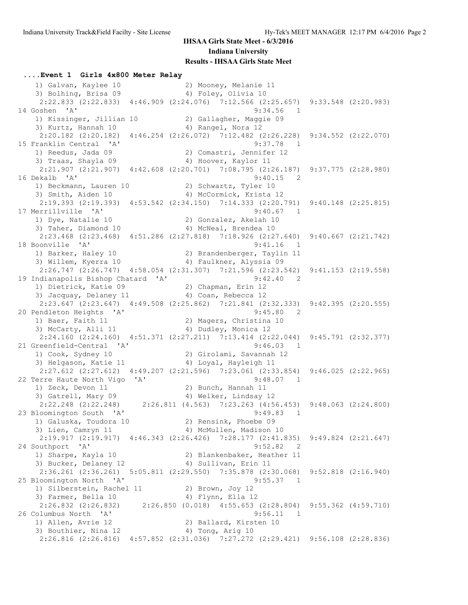### **....Event 1 Girls 4x800 Meter Relay** 1) Galvan, Kaylee 10 2) Mooney, Melanie 11 3) Bolhing, Brisa 09 (4) Foley, Olivia 10 2:22.833 (2:22.833) 4:46.909 (2:24.076) 7:12.566 (2:25.657) 9:33.548 (2:20.983) 14 Goshen 'A' 9:34.56 1 1) Kissinger, Jillian 10 2) Gallagher, Maggie 09 3) Kurtz, Hannah 10  $\hskip1cm$  4) Rangel, Nora 12 2:20.182 (2:20.182) 4:46.254 (2:26.072) 7:12.482 (2:26.228) 9:34.552 (2:22.070) 15 Franklin Central 'A' 9:37.78 1 1) Reedus, Jada 09 2) Comastri, Jennifer 12 3) Traas, Shayla 09 4) Hoover, Kaylor 11 2:21.907 (2:21.907) 4:42.608 (2:20.701) 7:08.795 (2:26.187) 9:37.775 (2:28.980) 16 Dekalb 'A' 9:40.15 2 1) Beckmann, Lauren 10 2) Schwartz, Tyler 10 3) Smith, Aiden 10 4) McCormick, Krista 12 2:19.393 (2:19.393) 4:53.542 (2:34.150) 7:14.333 (2:20.791) 9:40.148 (2:25.815) 17 Merrillville 'A' 9:40.67 1 1) Dye, Natalie 10 2) Gonzalez, Akelah 10 3) Taher, Diamond 10 4) McNeal, Brendea 10 2:23.468 (2:23.468) 4:51.286 (2:27.818) 7:18.926 (2:27.640) 9:40.667 (2:21.742) 18 Boonville 'A' 9:41.16 1 1) Barker, Haley 10 2) Brandenberger, Taylin 11 3) Willem, Kyerra 10 4) Faulkner, Alyssia 09 2:26.747 (2:26.747) 4:58.054 (2:31.307) 7:21.596 (2:23.542) 9:41.153 (2:19.558) 19 Indianapolis Bishop Chatard 'A' 9:42.40 2 1) Dietrick, Katie 09 2) Chapman, Erin 12 3) Jacquay, Delaney 11 (4) Coan, Rebecca 12 2:23.647 (2:23.647) 4:49.508 (2:25.862) 7:21.841 (2:32.333) 9:42.395 (2:20.555) 20 Pendleton Heights 'A' 9:45.80 2 1) Baer, Faith 11 2) Magers, Christina 10 3) McCarty, Alli 11 4) Dudley, Monica 12 2:24.160 (2:24.160) 4:51.371 (2:27.211) 7:13.414 (2:22.044) 9:45.791 (2:32.377) 21 Greenfield-Central 'A' 9:46.03 1 1) Cook, Sydney 10 2) Girolami, Savannah 12 3) Helgason, Katie 11  $\hskip10mm$  4) Loyal, Hayleigh 11 2:27.612 (2:27.612) 4:49.207 (2:21.596) 7:23.061 (2:33.854) 9:46.025 (2:22.965) 22 Terre Haute North Vigo 'A' 9:48.07 1 1) Zeck, Devon 11 2) Bunch, Hannah 11 3) Gatrell, Mary 09 4) Welker, Lindsay 12 2:22.248 (2:22.248) 2:26.811 (4.563) 7:23.263 (4:56.453) 9:48.063 (2:24.800) 23 Bloomington South 'A' 9:49.83 1 1) Galuska, Toudora 10 2) Rensink, Phoebe 09 3) Lien, Camryn 11 and 4) McMullen, Madison 10 2:19.917 (2:19.917) 4:46.343 (2:26.426) 7:28.177 (2:41.835) 9:49.824 (2:21.647) 24 Southport 'A' 9:52.82 2 1) Sharpe, Kayla 10 2) Blankenbaker, Heather 11 3) Bucker, Delaney 12 (4) Sullivan, Erin 11 2:36.261 (2:36.261) 5:05.811 (2:29.550) 7:35.878 (2:30.068) 9:52.818 (2:16.940) 25 Bloomington North 'A' 9:55.37 1 1) Silberstein, Rachel 11 2) Brown, Joy 12 3) Farmer, Bella 10 4) Flynn, Ella 12 2:26.832 (2:26.832) 2:26.850 (0.018) 4:55.653 (2:28.804) 9:55.362 (4:59.710) 26 Columbus North 'A' 9:56.11 1 1) Allen, Avrie 12 2) Ballard, Kirsten 10 3) Bouthier, Nina 12 4) Tong, Arig 10 2:26.816 (2:26.816) 4:57.852 (2:31.036) 7:27.272 (2:29.421) 9:56.108 (2:28.836)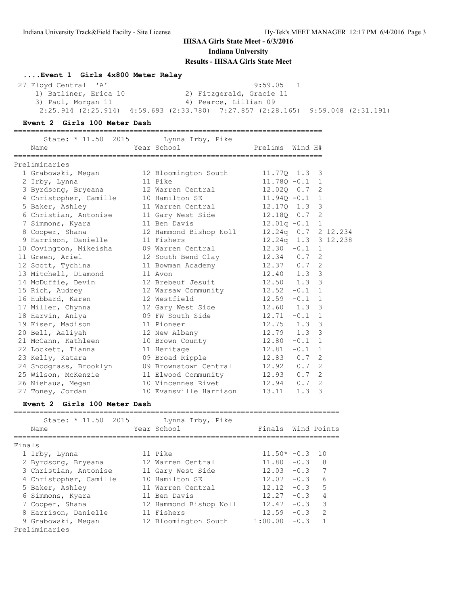**....Event 1 Girls 4x800 Meter Relay**

 27 Floyd Central 'A' 9:59.05 1 1) Batliner, Erica 10 2) Fitzgerald, Gracie 11 3) Paul, Morgan 11 4) Pearce, Lillian 09 2:25.914 (2:25.914) 4:59.693 (2:33.780) 7:27.857 (2:28.165) 9:59.048 (2:31.191)

#### **Event 2 Girls 100 Meter Dash**

========================================================================

| State: * 11.50 2015    | Lynna Irby, Pike              |                  |         |                |                     |
|------------------------|-------------------------------|------------------|---------|----------------|---------------------|
| Name                   | Year School                   | Prelims          | Wind H# |                |                     |
| Preliminaries          |                               |                  |         |                |                     |
| 1 Grabowski, Megan     | 12 Bloomington South          | 11.770 1.3 3     |         |                |                     |
| 2 Irby, Lynna          | 11 Pike                       | $11.780 - 0.1$ 1 |         |                |                     |
| 3 Byrdsong, Bryeana    | 12 Warren Central             | 12.020 0.7       |         | 2              |                     |
| 4 Christopher, Camille | 10 Hamilton SE                | $11.940 - 0.1$ 1 |         |                |                     |
| 5 Baker, Ashley        | 11 Warren Central             | 12.170 1.3       |         | 3              |                     |
| 6 Christian, Antonise  | 11 Gary West Side             | 12.180 0.7       |         | 2              |                     |
| 7 Simmons, Kyara       | 11 Ben Davis                  | $12.01q - 0.1$ 1 |         |                |                     |
| 8 Cooper, Shana        | 12 Hammond Bishop Noll        |                  |         |                | 12.24q 0.7 2 12.234 |
| 9 Harrison, Danielle   | 11 Fishers                    |                  |         |                | 12.24q 1.3 3 12.238 |
| 10 Covington, Mikeisha | 09 Warren Central             | $12.30 - 0.1$    |         | 1              |                     |
| 11 Green, Ariel        | 12 South Bend Clay            | $12.34$ 0.7      |         | 2              |                     |
| 12 Scott, Tychina      | 11 Bowman Academy             | $12.37$ 0.7      |         | 2              |                     |
| 13 Mitchell, Diamond   | 11 Avon                       | $12.40$ $1.3$ 3  |         |                |                     |
| 14 McDuffie, Devin     | 12 Brebeuf Jesuit             | $12.50$ $1.3$ 3  |         |                |                     |
| 15 Rich, Audrey        | 12 Warsaw Community           | 12.52            | $-0.1$  | $\mathbf{1}$   |                     |
| 16 Hubbard, Karen      | 12 Westfield                  | 12.59            | $-0.1$  | $\mathbf{1}$   |                     |
| 17 Miller, Chynna      | 12 Gary West Side 12.60 1.3 3 |                  |         |                |                     |
| 18 Harvin, Aniya       | 09 FW South Side              | $12.71 - 0.1 1$  |         |                |                     |
| 19 Kiser, Madison      | 11 Pioneer                    | 12.75            | 1.3     | 3              |                     |
| 20 Bell, Aaliyah       | 12 New Albany                 | 12.79            | 1.3     | 3              |                     |
| 21 McCann, Kathleen    | 10 Brown County               | 12.80            | $-0.1$  | $\mathbf{1}$   |                     |
| 22 Lockett, Tianna     | 11 Heritage                   | 12.81            | $-0.1$  | 1              |                     |
| 23 Kelly, Katara       | 09 Broad Ripple               | 12.83 0.7        |         | 2              |                     |
| 24 Snodgrass, Brooklyn | 09 Brownstown Central         | $12.92 \t 0.7$   |         | $\overline{2}$ |                     |
| 25 Wilson, McKenzie    | 11 Elwood Community           | $12.93$ 0.7      |         | 2              |                     |
| 26 Niehaus, Megan      | 10 Vincennes Rivet            | 12.94            | 0.7     | 2              |                     |
| 27 Toney, Jordan       | 10 Evansville Harrison        | 13.11            | 1.3     | 3              |                     |

#### **Event 2 Girls 100 Meter Dash**

|        | 2015<br>State: $* 11.50$<br>Name | Lynna Irby, Pike<br>Year School | Finals        |        | Wind Points   |
|--------|----------------------------------|---------------------------------|---------------|--------|---------------|
| Finals |                                  |                                 |               |        |               |
|        | 1 Irby, Lynna                    | 11 Pike                         | $11.50* -0.3$ |        | 1 O           |
|        | 2 Byrdsong, Bryeana              | 12 Warren Central               | $11.80 - 0.3$ |        | 8             |
|        | 3 Christian, Antonise            | 11 Gary West Side               | 12.03         | $-0.3$ | 7             |
|        | 4 Christopher, Camille           | 10 Hamilton SE                  | 12.07         | $-0.3$ | 6             |
|        | 5 Baker, Ashley                  | 11 Warren Central               | 12.12         | $-0.3$ | 5             |
|        | 6 Simmons, Kyara                 | 11 Ben Davis                    | 12.27         | $-0.3$ | 4             |
|        | 7 Cooper, Shana                  | 12 Hammond Bishop Noll          | 12.47         | $-0.3$ | 3             |
|        | 8 Harrison, Danielle             | 11 Fishers                      | 12.59         | $-0.3$ | $\mathcal{L}$ |
|        | 9 Grabowski, Megan               | 12 Bloomington South            | 1:00.00       | $-0.3$ |               |
|        | Preliminaries                    |                                 |               |        |               |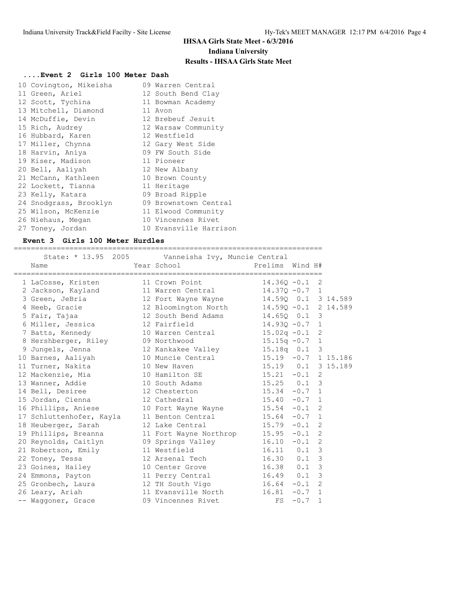# **....Event 2 Girls 100 Meter Dash**

| 10 Covington, Mikeisha | 09 Warren Central      |
|------------------------|------------------------|
| 11 Green, Ariel        | 12 South Bend Clay     |
| 12 Scott, Tychina      | 11 Bowman Academy      |
| 13 Mitchell, Diamond   | 11 Avon                |
| 14 McDuffie, Devin     | 12 Brebeuf Jesuit      |
| 15 Rich, Audrey        | 12 Warsaw Community    |
| 16 Hubbard, Karen      | 12 Westfield           |
| 17 Miller, Chynna      | 12 Gary West Side      |
| 18 Harvin, Aniya       | 09 FW South Side       |
| 19 Kiser, Madison      | 11 Pioneer             |
| 20 Bell, Aaliyah       | 12 New Albany          |
| 21 McCann, Kathleen    | 10 Brown County        |
| 22 Lockett, Tianna     | 11 Heritage            |
| 23 Kelly, Katara       | 09 Broad Ripple        |
| 24 Snodgrass, Brooklyn | 09 Brownstown Central  |
| 25 Wilson, McKenzie    | 11 Elwood Community    |
| 26 Niehaus, Megan      | 10 Vincennes Rivet     |
| 27 Toney, Jordan       | 10 Evansville Harrison |

#### **Event 3 Girls 100 Meter Hurdles**

| Name                     | State: * 13.95 2005 Vanneisha Ivy, Muncie Central<br>Year School | Prelims Wind H#         |          |                |  |
|--------------------------|------------------------------------------------------------------|-------------------------|----------|----------------|--|
| 1 LaCosse, Kristen       | 11 Crown Point                                                   | $14.360 - 0.1$ 2        |          |                |  |
| 2 Jackson, Kayland       | 11 Warren Central                                                | $14.370 - 0.7$ 1        |          |                |  |
| 3 Green, JeBria          | 12 Fort Wayne Wayne                                              | 14.590  0.1  3  14.589  |          |                |  |
| 4 Heeb, Gracie           | 12 Bloomington North                                             | $14.590 - 0.1$ 2 14.589 |          |                |  |
| 5 Fair, Tajaa            | 12 South Bend Adams 14.650 0.1 3                                 |                         |          |                |  |
| 6 Miller, Jessica        | 12 Fairfield                                                     | $14.93Q - 0.7$ 1        |          |                |  |
| 7 Batts, Kennedy         | 10 Warren Central 15.02q -0.1 2                                  |                         |          |                |  |
| 8 Hershberger, Riley     | 09 Northwood                                                     | $15.15q -0.7$ 1         |          |                |  |
| 9 Jungels, Jenna         | 12 Kankakee Valley 15.18q 0.1 3                                  |                         |          |                |  |
| 10 Barnes, Aaliyah       | 10 Muncie Central 15.19 -0.7 1 15.186                            |                         |          |                |  |
| 11 Turner, Nakita        | 10 New Haven                                                     | 15.19  0.1  3  15.189   |          |                |  |
| 12 Mackenzie, Mia        | 10 Hamilton SE                                                   | $15.21 - 0.1$           |          | 2              |  |
| 13 Wanner, Addie         | 10 South Adams 15.25 0.1 3                                       |                         |          |                |  |
| 14 Bell, Desiree         | 12 Chesterton                                                    | $15.34 -0.7$ 1          |          |                |  |
| 15 Jordan, Cienna        | 12 Cathedral                                                     | $15.40 -0.7$ 1          |          |                |  |
| 16 Phillips, Aniese      | 10 Fort Wayne Wayne 15.54 -0.1                                   |                         |          | 2              |  |
| 17 Schluttenhofer, Kayla | 11 Benton Central 15.64 -0.7 1                                   |                         |          |                |  |
| 18 Heuberger, Sarah      | $15.79 - 0.1$<br>12 Lake Central                                 |                         |          | 2              |  |
| 19 Phillips, Breanna     | 11 Fort Wayne Northrop 15.95 -0.1                                |                         |          | 2              |  |
| 20 Reynolds, Caitlyn     | 09 Springs Valley 16.10                                          |                         | $-0.1$   | $\overline{2}$ |  |
| 21 Robertson, Emily      | 11 Westfield                                                     | $16.11$ 0.1             |          | 3              |  |
| 22 Toney, Tessa          | 12 Arsenal Tech                                                  | $16.30$ 0.1             |          | 3              |  |
| 23 Goines, Hailey        | 10 Center Grove                                                  | $16.38$ 0.1             |          | 3              |  |
| 24 Emmons, Payton        | 11 Perry Central 16.49 0.1                                       |                         |          | 3              |  |
| 25 Gronbech, Laura       | 12 TH South Vigo 16.64                                           |                         | $-0.1$   | 2              |  |
| 26 Leary, Ariah          | 11 Evansville North 16.81                                        |                         | $-0.7$ 1 |                |  |
| -- Waqqoner, Grace       | 09 Vincennes Rivet                                               | FS                      | $-0.7$   | $\mathbf{1}$   |  |

========================================================================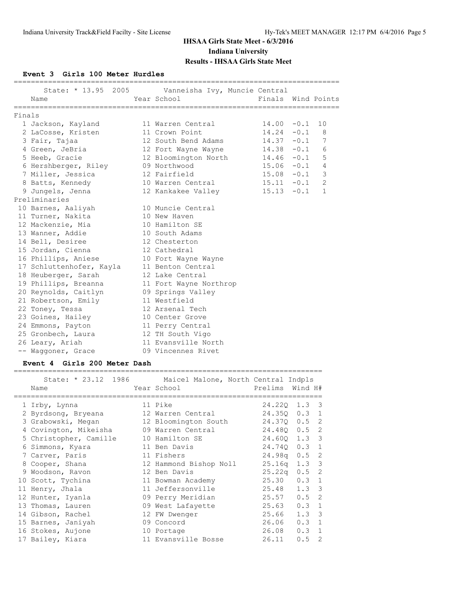**Event 3 Girls 100 Meter Hurdles**

|        | Name                              | State: * 13.95 2005 Vanneisha Ivy, Muncie Central<br>Year School | Finals Wind Points |              |
|--------|-----------------------------------|------------------------------------------------------------------|--------------------|--------------|
| Finals |                                   |                                                                  |                    |              |
|        | 1 Jackson, Kayland                | 11 Warren Central                                                | $14.00 - 0.1 10$   |              |
|        | 2 LaCosse, Kristen                | 11 Crown Point                                                   | $14.24 - 0.1$      | 8            |
|        | 3 Fair, Tajaa                     | 12 South Bend Adams                                              | $14.37 - 0.1$ 7    |              |
|        | 4 Green, JeBria                   | 12 Fort Wayne Wayne 14.38 -0.1                                   |                    | 6            |
|        | 5 Heeb, Gracie                    | 12 Bloomington North 14.46 -0.1                                  |                    | 5            |
|        | 6 Hershberger, Riley 09 Northwood |                                                                  | $15.06 - 0.1$ 4    |              |
|        | 7 Miller, Jessica                 | 12 Fairfield                                                     | $15.08 - 0.1$ 3    |              |
|        | 8 Batts, Kennedy                  | 10 Warren Central                                                | $15.11 - 0.1$      | 2            |
|        | 9 Jungels, Jenna                  | 12 Kankakee Valley                                               | $15.13 - 0.1$      | $\mathbf{1}$ |
|        | Preliminaries                     |                                                                  |                    |              |
|        | 10 Barnes, Aaliyah                | 10 Muncie Central                                                |                    |              |
|        | 11 Turner, Nakita                 | 10 New Haven                                                     |                    |              |
|        | 12 Mackenzie, Mia                 | 10 Hamilton SE                                                   |                    |              |
|        | 13 Wanner, Addie                  | 10 South Adams                                                   |                    |              |
|        | 14 Bell, Desiree                  | 12 Chesterton                                                    |                    |              |
|        | 15 Jordan, Cienna                 | 12 Cathedral                                                     |                    |              |
|        | 16 Phillips, Aniese               | 10 Fort Wayne Wayne                                              |                    |              |
|        | 17 Schluttenhofer, Kayla          | 11 Benton Central                                                |                    |              |
|        | 18 Heuberger, Sarah               | 12 Lake Central                                                  |                    |              |
|        | 19 Phillips, Breanna              | 11 Fort Wayne Northrop                                           |                    |              |
|        | 20 Reynolds, Caitlyn              | 09 Springs Valley                                                |                    |              |
|        | 21 Robertson, Emily               | 11 Westfield                                                     |                    |              |
|        | 22 Toney, Tessa                   | 12 Arsenal Tech                                                  |                    |              |
|        | 23 Goines, Hailey                 | 10 Center Grove                                                  |                    |              |
|        | 24 Emmons, Payton                 | 11 Perry Central                                                 |                    |              |
|        | 25 Gronbech, Laura                | 12 TH South Vigo                                                 |                    |              |
|        | 26 Leary, Ariah                   | 11 Evansville North                                              |                    |              |
|        | -- Waqqoner, Grace                | 09 Vincennes Rivet                                               |                    |              |

### **Event 4 Girls 200 Meter Dash**

|                                                       | State: * 23.12 1986 Maicel Malone, North Central Indpls |                    |               |
|-------------------------------------------------------|---------------------------------------------------------|--------------------|---------------|
| Name                                                  | Year School                                             | Prelims            | Wind H#       |
| 1 Irby, Lynna                                         | 11 Pike                                                 |                    | 24.220 1.3 3  |
| 2 Byrdsong, Bryeana 12 Warren Central                 |                                                         |                    | 24.350 0.3 1  |
|                                                       |                                                         |                    |               |
| 3 Grabowski, Megan               12 Bloomington South |                                                         |                    | 24.370 0.5 2  |
| 4 Covington, Mikeisha                                 | 09 Warren Central                                       |                    | 24.480 0.5 2  |
| 5 Christopher, Camille                                | 10 Hamilton SE                                          |                    | 24.600 1.3 3  |
| 6 Simmons, Kyara                                      | 11 Ben Davis                                            | 24.740             | $0.3 \quad 1$ |
| 7 Carver, Paris                                       | 11 Fishers                                              | 24.98q             | $0.5 \quad 2$ |
| 8 Cooper, Shana                                       | 12 Hammond Bishop Noll                                  | 25.16 <sub>q</sub> | $1.3-3$       |
| 9 Woodson, Ravon                                      | 12 Ben Davis                                            | 25.22 <sub>q</sub> | $0.5 \quad 2$ |
| 10 Scott, Tychina                                     | 11 Bowman Academy                                       | 25.30              | $0.3 \quad 1$ |
| 11 Henry, Jhala                                       | 11 Jeffersonville                                       | 25.48              | $1.3 \quad 3$ |
| 12 Hunter, Iyanla                                     | 09 Perry Meridian                                       | 25.57              | $0.5 \quad 2$ |
| 13 Thomas, Lauren                                     | 09 West Lafayette                                       | 25.63              | $0.3 \quad 1$ |
| 14 Gibson, Rachel                                     | 12 FW Dwenger                                           | 25.66              | $1.3 \quad 3$ |
| 15 Barnes, Janiyah                                    | 09 Concord                                              | 26.06              | $0.3 \quad 1$ |
| 16 Stokes, Aujone                                     | 10 Portage                                              | 26.08              | $0.3 \quad 1$ |
| 17 Bailey, Kiara                                      | 11 Evansville Bosse                                     | 26.11              | 2<br>0.5      |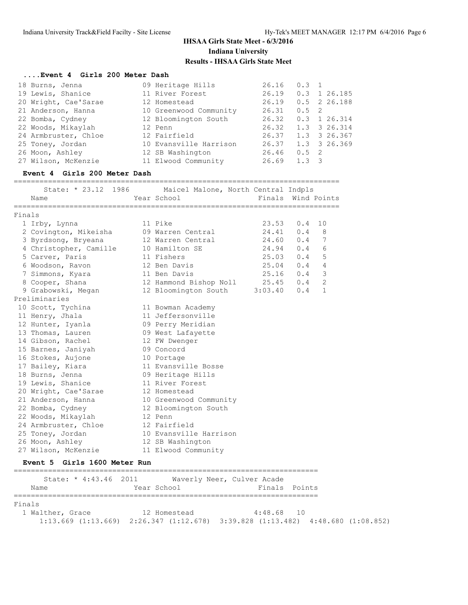# **....Event 4 Girls 200 Meter Dash**

| 18 Burns, Jenna      | 09 Heritage Hills      | 26.16 | $0.3 \quad 1$ |                            |
|----------------------|------------------------|-------|---------------|----------------------------|
| 19 Lewis, Shanice    | 11 River Forest        | 26.19 |               | $0.3$ 1 26.185             |
| 20 Wright, Cae'Sarae | 12 Homestead           | 26.19 |               | $0.5$ 2 26.188             |
| 21 Anderson, Hanna   | 10 Greenwood Community | 26.31 | $0.5 \quad 2$ |                            |
| 22 Bomba, Cydney     | 12 Bloomington South   | 26.32 |               | $0.3 \quad 1 \quad 26.314$ |
| 22 Woods, Mikaylah   | 12 Penn                | 26.32 |               | 1.3 3 26.314               |
| 24 Armbruster, Chloe | 12 Fairfield           | 26.37 |               | 1.3 3 26.367               |
| 25 Toney, Jordan     | 10 Evansville Harrison | 26.37 |               | 1.3 3 26.369               |
| 26 Moon, Ashley      | 12 SB Washington       | 26.46 | $0.5 \quad 2$ |                            |
| 27 Wilson, McKenzie  | 11 Elwood Community    | 26.69 | $1.3 \quad 3$ |                            |

# **Event 4 Girls 200 Meter Dash**

============================================================================

|        | State: * 23.12<br>1986 | Maicel Malone, North Central Indpls |         |                       |
|--------|------------------------|-------------------------------------|---------|-----------------------|
|        | Name                   | Year School                         | Finals  | Wind Points           |
|        |                        |                                     |         |                       |
| Finals |                        |                                     |         |                       |
|        | 1 Irby, Lynna          | 11 Pike                             | 23.53   | 0.4<br>10             |
|        | 2 Covington, Mikeisha  | 09 Warren Central                   | 24.41   | 0.4<br>8              |
|        | 3 Byrdsong, Bryeana    | 12 Warren Central                   | 24.60   | 0.4<br>7              |
|        | 4 Christopher, Camille | 10 Hamilton SE                      | 24.94   | 6<br>0.4              |
|        | 5 Carver, Paris        | 11 Fishers                          | 25.03   | 5<br>0.4              |
|        | 6 Woodson, Ravon       | 12 Ben Davis                        | 25.04   | $\overline{4}$<br>0.4 |
|        | 7 Simmons, Kyara       | 11 Ben Davis                        | 25.16   | 3<br>0.4              |
|        | 8 Cooper, Shana        | 12 Hammond Bishop Noll              | 25.45   | 0.4<br>$\overline{2}$ |
|        | 9 Grabowski, Megan     | 12 Bloomington South                | 3:03.40 | 0.4<br>$\mathbf{1}$   |
|        | Preliminaries          |                                     |         |                       |
|        | 10 Scott, Tychina      | 11 Bowman Academy                   |         |                       |
|        | 11 Henry, Jhala        | 11 Jeffersonville                   |         |                       |
|        | 12 Hunter, Iyanla      | 09 Perry Meridian                   |         |                       |
|        | 13 Thomas, Lauren      | 09 West Lafayette                   |         |                       |
|        | 14 Gibson, Rachel      | 12 FW Dwenger                       |         |                       |
|        | 15 Barnes, Janiyah     | 09 Concord                          |         |                       |
|        | 16 Stokes, Aujone      | 10 Portage                          |         |                       |
|        | 17 Bailey, Kiara       | 11 Evansville Bosse                 |         |                       |
|        | 18 Burns, Jenna        | 09 Heritage Hills                   |         |                       |
|        | 19 Lewis, Shanice      | 11 River Forest                     |         |                       |
|        | 20 Wright, Cae'Sarae   | 12 Homestead                        |         |                       |
|        | 21 Anderson, Hanna     | 10 Greenwood Community              |         |                       |
|        | 22 Bomba, Cydney       | 12 Bloomington South                |         |                       |
|        | 22 Woods, Mikaylah     | 12 Penn                             |         |                       |
|        | 24 Armbruster, Chloe   | 12 Fairfield                        |         |                       |
|        | 25 Toney, Jordan       | 10 Evansville Harrison              |         |                       |
|        | 26 Moon, Ashley        | 12 SB Washington                    |         |                       |
|        | 27 Wilson, McKenzie    | 11 Elwood Community                 |         |                       |

#### **Event 5 Girls 1600 Meter Run**

| State: * 4:43.46 2011<br>Name | Year School  | Waverly Neer, Culver Acade<br>Finals Points                                                     |  |
|-------------------------------|--------------|-------------------------------------------------------------------------------------------------|--|
| Finals                        |              |                                                                                                 |  |
| 1 Walther, Grace              | 12 Homestead | 4:48.68 10                                                                                      |  |
|                               |              | $1:13.669$ $(1:13.669)$ $2:26.347$ $(1:12.678)$ $3:39.828$ $(1:13.482)$ $4:48.680$ $(1:08.852)$ |  |

=======================================================================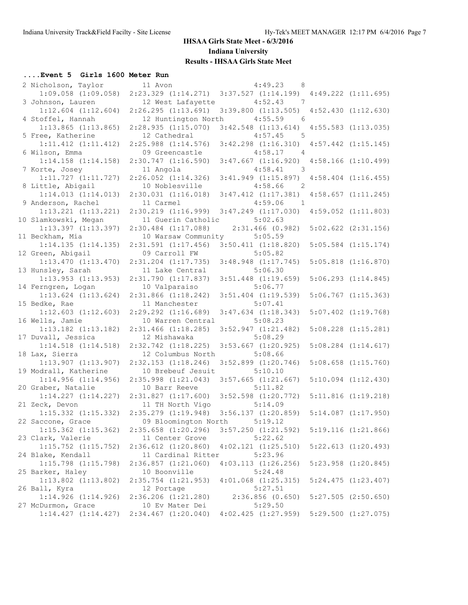# **....Event 5 Girls 1600 Meter Run**

| 2 Nicholson, Taylor                      | 11 Avon                                  | 4:49.23<br>- 8                                  |                         |
|------------------------------------------|------------------------------------------|-------------------------------------------------|-------------------------|
| $1:09.058$ $(1:09.058)$                  | $2:23.329$ $(1:14.271)$                  | $3:37.527$ $(1:14.199)$ $4:49.222$ $(1:11.695)$ |                         |
| 3 Johnson, Lauren                        | 12 West Lafayette                        | 4:52.43<br>$\overline{7}$                       |                         |
| $1:12.604$ $(1:12.604)$                  | 2:26.295(1:13.691)                       | $3:39.800$ $(1:13.505)$                         | 4:52.430(1:12.630)      |
| 4 Stoffel, Hannah                        | 12 Huntington North                      | 4:55.59<br>- 6                                  |                         |
| $1:13.865$ $(1:13.865)$                  | 2:28.935(1:15.070)                       | $3:42.548$ $(1:13.614)$                         | 4:55.583 (1:13.035)     |
| 5 Free, Katherine                        | 12 Cathedral                             | 4:57.45<br>5                                    |                         |
| $1:11.412$ $(1:11.412)$                  | $2:25.988$ $(1:14.576)$                  | $3:42.298$ $(1:16.310)$                         | $4:57.442$ $(1:15.145)$ |
| 6 Wilson, Emma                           | 09 Greencastle                           | 4:58.17<br>$\overline{4}$                       |                         |
| $1:14.158$ $(1:14.158)$                  | $2:30.747$ $(1:16.590)$                  | $3:47.667$ $(1:16.920)$                         | $4:58.166$ $(1:10.499)$ |
| 7 Korte, Josey                           | 11 Angola                                | 4:58.41<br>$\overline{\phantom{a}}$             |                         |
| $1:11.727$ $(1:11.727)$                  | $2:26.052$ $(1:14.326)$                  | $3:41.949$ $(1:15.897)$                         | $4:58.404$ $(1:16.455)$ |
| 8 Little, Abigail                        | 10 Noblesville                           | 4:58.66<br>$\overline{\phantom{0}}^2$           |                         |
| 1:14.013(1:14.013)                       | $2:30.031$ $(1:16.018)$                  | $3:47.412$ $(1:17.381)$                         | $4:58.657$ $(1:11.245)$ |
| 9 Anderson, Rachel                       | 11 Carmel                                | 4:59.06<br>$\overline{1}$                       |                         |
| $1:13.221$ $(1:13.221)$                  | 2:30.219 (1:16.999)                      | $3:47.249$ $(1:17.030)$                         | $4:59.052$ $(1:11.803)$ |
| 10 Slamkowski, Megan                     | 11 Guerin Catholic                       | 5:02.63                                         |                         |
| $1:13.397$ $(1:13.397)$                  | $2:30.484$ $(1:17.088)$                  | $2:31.466$ (0.982)                              | $5:02.622$ $(2:31.156)$ |
| 11 Beckham, Mia                          | 10 Warsaw Community                      | 5:05.59                                         |                         |
| 1:14.135(1:14.135)                       | $2:31.591$ $(1:17.456)$                  | $3:50.411$ $(1:18.820)$                         | $5:05.584$ $(1:15.174)$ |
| 12 Green, Abigail                        | 09 Carroll FW                            | 5:05.82                                         |                         |
| $1:13.470$ $(1:13.470)$                  | $2:31.204$ $(1:17.735)$                  | $3:48.948$ $(1:17.745)$                         | $5:05.818$ $(1:16.870)$ |
| 13 Hunsley, Sarah                        | 11 Lake Central                          | 5:06.30                                         |                         |
| $1:13.953$ $(1:13.953)$                  | $2:31.790$ $(1:17.837)$                  | $3:51.448$ $(1:19.659)$                         | $5:06.293$ $(1:14.845)$ |
| 14 Ferngren, Logan                       | 10 Valparaiso<br>$2:31.866$ $(1:18.242)$ | 5:06.77                                         |                         |
| $1:13.624$ $(1:13.624)$                  |                                          | $3:51.404$ $(1:19.539)$<br>5:07.41              | $5:06.767$ $(1:15.363)$ |
| 15 Bedke, Rae<br>$1:12.603$ $(1:12.603)$ | 11 Manchester<br>$2:29.292$ $(1:16.689)$ | $3:47.634$ $(1:18.343)$                         | $5:07.402$ $(1:19.768)$ |
| 16 Wells, Jamie                          | 10 Warren Central                        | 5:08.23                                         |                         |
| $1:13.182$ $(1:13.182)$                  | $2:31.466$ $(1:18.285)$                  | $3:52.947$ $(1:21.482)$                         | $5:08.228$ $(1:15.281)$ |
| 17 Duvall, Jessica                       | 12 Mishawaka                             | 5:08.29                                         |                         |
| $1:14.518$ $(1:14.518)$                  | $2:32.742$ $(1:18.225)$                  | $3:53.667$ $(1:20.925)$                         | $5:08.284$ $(1:14.617)$ |
| 18 Lax, Sierra                           | 12 Columbus North                        | 5:08.66                                         |                         |
| $1:13.907$ $(1:13.907)$                  | $2:32.153$ $(1:18.246)$                  | $3:52.899$ $(1:20.746)$                         | $5:08.658$ $(1:15.760)$ |
| 19 Modrall, Katherine                    | 10 Brebeuf Jesuit                        | 5:10.10                                         |                         |
| $1:14.956$ $(1:14.956)$                  | $2:35.998$ $(1:21.043)$                  | $3:57.665$ $(1:21.667)$                         | $5:10.094$ $(1:12.430)$ |
| 20 Graber, Natalie                       | 10 Barr Reeve                            | 5:11.82                                         |                         |
| $1:14.227$ $(1:14.227)$                  | 2:31.827(1:17.600)                       | $3:52.598$ $(1:20.772)$                         | $5:11.816$ $(1:19.218)$ |
| 21 Zeck, Devon                           | 11 TH North Vigo                         | 5:14.09                                         |                         |
| $1:15.332$ $(1:15.332)$                  | $2:35.279$ $(1:19.948)$                  | $3:56.137$ $(1:20.859)$                         | $5:14.087$ $(1:17.950)$ |
| 22 Saccone, Grace                        | 09 Bloomington North 5:19.12             |                                                 |                         |
| $1:15.362$ $(1:15.362)$                  | $2:35.658$ $(1:20.296)$                  | $3:57.250$ $(1:21.592)$                         | $5:19.116$ $(1:21.866)$ |
| 23 Clark, Valerie                        | 11 Center Grove                          | 5:22.62                                         |                         |
| $1:15.752$ $(1:15.752)$                  | $2:36.612$ $(1:20.860)$                  | $4:02.121$ $(1:25.510)$                         | $5:22.613$ $(1:20.493)$ |
| 24 Blake, Kendall                        | 11 Cardinal Ritter                       | 5:23.96                                         |                         |
| $1:15.798$ $(1:15.798)$                  | $2:36.857$ $(1:21.060)$                  | $4:03.113$ $(1:26.256)$                         | $5:23.958$ $(1:20.845)$ |
| 25 Barker, Haley                         | 10 Boonville                             | 5:24.48                                         |                         |
| $1:13.802$ $(1:13.802)$                  | $2:35.754$ $(1:21.953)$                  | $4:01.068$ $(1:25.315)$                         | $5:24.475$ $(1:23.407)$ |
| 26 Ball, Kyra                            | 12 Portage                               | 5:27.51                                         |                         |
| $1:14.926$ $(1:14.926)$                  | 2:36.206 (1:21.280)                      | 2:36.856(0.650)                                 | $5:27.505$ $(2:50.650)$ |
| 27 McDurmon, Grace                       | 10 Ev Mater Dei                          | 5:29.50                                         |                         |
| 1:14.427(1:14.427)                       | $2:34.467$ $(1:20.040)$                  | $4:02.425$ $(1:27.959)$                         | $5:29.500$ $(1:27.075)$ |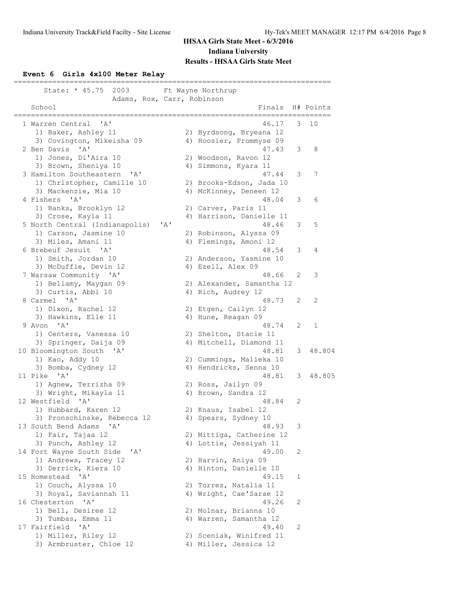### **Event 6 Girls 4x100 Meter Relay**

| State: * 45.75<br>2003                                               |     | Ft Wayne Northrup                                |   |           |
|----------------------------------------------------------------------|-----|--------------------------------------------------|---|-----------|
| Adams, Rox, Carr, Robinson<br>School                                 |     | Finals                                           |   | H# Points |
| 1 Warren Central<br>' A'                                             |     | 46.17                                            | 3 | 10        |
| 1) Baker, Ashley 11                                                  |     | 2) Byrdsong, Bryeana 12                          |   |           |
| 3) Covington, Mikeisha 09<br>$\mathbf{A}$<br>2 Ben Davis             |     | 4) Hoosier, Prommyse 09<br>47.43                 | 3 |           |
| 1) Jones, Di'Aira 10                                                 |     | 2) Woodson, Ravon 12                             |   | 8         |
| 3) Brown, Sheniya 10                                                 |     | 4) Simmons, Kyara 11                             |   |           |
| 3 Hamilton Southeastern<br>$^{\prime}$ A $^{\prime}$                 |     | 47.44                                            | 3 | 7         |
| 1) Christopher, Camille 10                                           |     | 2) Brooks-Edson, Jada 10                         |   |           |
| 3) Mackenzie, Mia 10<br>4 Fishers<br>$\mathsf{A}$                    |     | 4) McKinney, Deneen 12<br>48.04                  | 3 | 6         |
| 1) Banks, Brooklyn 12                                                |     | 2) Carver, Paris 11                              |   |           |
| 3) Crose, Kayla 11                                                   |     | 4) Harrison, Danielle 11                         |   |           |
| 5 North Central (Indianapolis)                                       | 'A' | 48.46                                            | 3 | 5         |
| 1) Carson, Jasmine 10                                                |     | 2) Robinson, Alyssa 09                           |   |           |
| 3) Miles, Amani 11                                                   |     | 4) Flemings, Amoni 12                            |   |           |
| 6 Brebeuf Jesuit<br>$^{\prime}$ A $^{\prime}$<br>1) Smith, Jordan 10 |     | 48.54<br>2) Anderson, Yasmine 10                 | 3 | 4         |
| 3) McDuffie, Devin 12                                                |     | 4) Ezell, Alex 09                                |   |           |
| 7 Warsaw Community 'A'                                               |     | 48.66                                            | 2 | 3         |
| 1) Bellamy, Maygan 09                                                |     | 2) Alexander, Samantha 12                        |   |           |
| 3) Curtis, Abbi 10                                                   |     | 4) Rich, Audrey 12                               |   |           |
| 8 Carmel 'A'                                                         |     | 48.73                                            | 2 | 2         |
| 1) Dixon, Rachel 12                                                  |     | 2) Etgen, Cailyn 12                              |   |           |
| 3) Hawkins, Elle 11<br>9 Avon 'A'                                    |     | 4) Hune, Reagan 09<br>48.74                      | 2 | 1         |
| 1) Centers, Vanessa 10                                               |     | 2) Shelton, Stacie 11                            |   |           |
| 3) Springer, Daija 09                                                |     | 4) Mitchell, Diamond 11                          |   |           |
| 10 Bloomington South 'A'                                             |     | 48.81                                            | 3 | 48.804    |
| 1) Kao, Addy 10                                                      |     | 2) Cummings, Malieka 10                          |   |           |
| 3) Bomba, Cydney 12<br>11 Pike 'A'                                   |     | 4) Hendricks, Senna 10<br>48.81                  | 3 | 48.805    |
| 1) Agnew, Terrizha 09                                                |     | 2) Ross, Jailyn 09                               |   |           |
| 3) Wright, Mikayla 11                                                |     | 4) Brown, Sandra 12                              |   |           |
| 12 Westfield<br>$^{\prime}$ A $^{\prime}$                            |     | 48.84                                            | 2 |           |
| 1) Hubbard, Karen 12                                                 |     | 2) Knaus, Isabel 12                              |   |           |
| 3) Pronschinske, Rebecca 12                                          |     | 4) Spears, Sydney 10                             |   |           |
| 13 South Bend Adams 'A'<br>1) Fair, Tajaa 12                         |     | 48.93<br>2) Mittiga, Catherine 12                | 3 |           |
| 3) Punch, Ashley 12                                                  |     | 4) Lottie, Jessiyah 11                           |   |           |
| 14 Fort Wayne South Side<br>'A'                                      |     | 49.00                                            | 2 |           |
| 1) Andrews, Tracey 12                                                |     | 2) Harvin, Aniya 09                              |   |           |
| 3) Derrick, Kiera 10                                                 |     | 4) Hinton, Danielle 10                           |   |           |
| 15 Homestead<br>$\mathsf{A}$                                         |     | 49.15                                            | 1 |           |
| 1) Couch, Alyssa 10<br>3) Royal, Saviannah 11                        |     | 2) Torrez, Natalia 11<br>4) Wright, Cae'Sarae 12 |   |           |
| 16 Chesterton 'A'                                                    |     | 49.26                                            | 2 |           |
| 1) Bell, Desiree 12                                                  |     | 2) Molnar, Brianna 10                            |   |           |
| 3) Tumbas, Emma 11                                                   |     | 4) Warren, Samantha 12                           |   |           |
| 17 Fairfield<br>' A '                                                |     | 49.40                                            | 2 |           |
| 1) Miller, Riley 12                                                  |     | 2) Sceniak, Winifred 11                          |   |           |
| 3) Armbruster, Chloe 12                                              |     | 4) Miller, Jessica 12                            |   |           |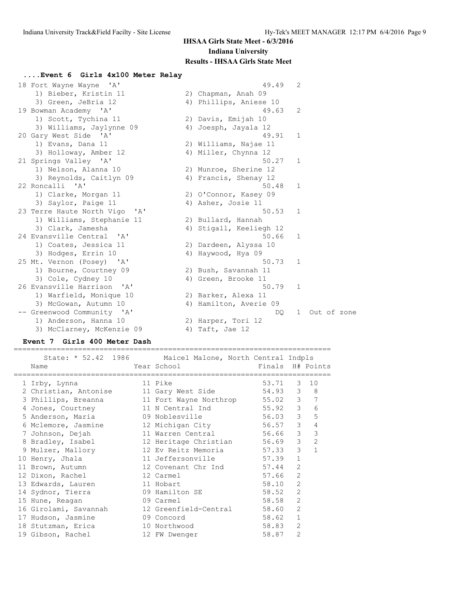### **....Event 6 Girls 4x100 Meter Relay** 18 Fort Wayne Wayne 'A' 49.49 2 1) Bieber, Kristin 11 12) Chapman, Anah 09 3) Green, JeBria 12 4) Phillips, Aniese 10 19 Bowman Academy 'A' 49.63 2 1) Scott, Tychina 11 2) Davis, Emijah 10 3) Williams, Jaylynne 09 4) Joesph, Jayala 12 20 Gary West Side 'A' 49.91 1 1) Evans, Dana 11 2) Williams, Najae 11 3) Holloway, Amber 12 4) Miller, Chynna 12 21 Springs Valley 'A' 50.27 1 1) Nelson, Alanna 10 2) Munroe, Sherine 12 3) Reynolds, Caitlyn 09 4) Francis, Shenay 12 22 Roncalli 'A' 50.48 1 1) Clarke, Morgan 11 2) O'Connor, Kasey 09 3) Saylor, Paige 11 4) Asher, Josie 11 23 Terre Haute North Vigo 'A' 50.53 1 1) Williams, Stephanie 11 (2) Bullard, Hannah 3) Clark, Jamesha 4) Stigall, Keeliegh 12 24 Evansville Central 'A' 50.66 1 1) Coates, Jessica 11 2) Dardeen, Alyssa 10 3) Hodges, Errin 10  $\hskip1cm$  4) Haywood, Hya 09 25 Mt. Vernon (Posey) 'A' 50.73 1 1) Bourne, Courtney 09 2) Bush, Savannah 11 3) Cole, Cydney 10 (4) Green, Brooke 11 26 Evansville Harrison 'A' 50.79 1 1) Warfield, Monique 10 2) Barker, Alexa 11 3) McGowan, Autumn 10 4) Hamilton, Averie 09 -- Greenwood Community 'A' DQ 1 Out of zone 1) Anderson, Hanna 10 2) Harper, Tori 12 3) McClarney, McKenzie 09 4) Taft, Jae 12

### **Event 7 Girls 400 Meter Dash**

 State: \* 52.42 1986 Maicel Malone, North Central Indpls Name The School Communication of the Manus H# Points ========================================================================== 1 Irby, Lynna 11 Pike 53.71 3 10 2 Christian, Antonise 11 Gary West Side 54.93 3 8 3 Phillips, Breanna 11 Fort Wayne Northrop 55.02 3 7 4 Jones, Courtney 11 N Central Ind 55.92 3 6 5 Anderson, Maria 09 Noblesville 56.03 3 5 6 Mclemore, Jasmine 12 Michigan City 56.57 3 4 7 Johnson, Dejah 11 Warren Central 56.66 3 3 8 Bradley, Isabel 12 Heritage Christian 56.69 3 2 9 Mulzer, Mallory 12 Ev Reitz Memoria 57.33 3 1 10 Henry, Jhala 11 Jeffersonville 57.39 1 11 Brown, Autumn 12 Covenant Chr Ind 57.44 2 12 Dixon, Rachel 12 Carmel 57.66 2 13 Edwards, Lauren 11 Hobart 11 58.10 2 14 Sydnor, Tierra 09 Hamilton SE 58.52 2 15 Hune, Reagan 09 Carmel 58.58 2 16 Girolami, Savannah 12 Greenfield-Central 58.60 2 17 Hudson, Jasmine 09 Concord 58.62 1 18 Stutzman, Erica 10 Northwood 58.83 2 19 Gibson, Rachel 12 FW Dwenger 58.87 2

==========================================================================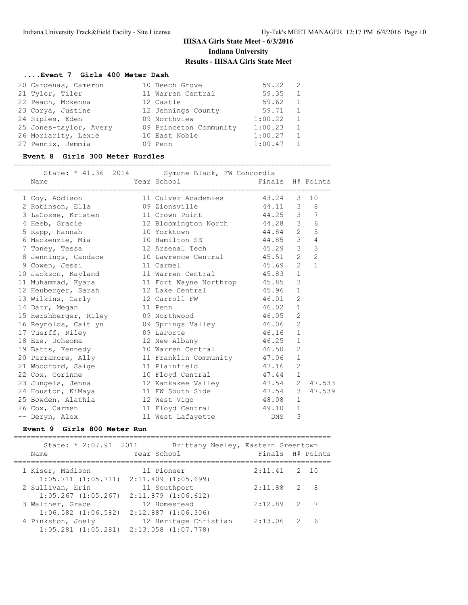#### **....Event 7 Girls 400 Meter Dash**

| 20 Cardenas, Cameron   |               | 10 Beech Grove         | 59.22   | - 2          |
|------------------------|---------------|------------------------|---------|--------------|
| 21 Tyler, Tiler        |               | 11 Warren Central      | 59.35   | 1            |
| 22 Peach, Mckenna      | 12 Castle     |                        | 59.62   | $\mathbf{1}$ |
| 23 Corya, Justine      |               | 12 Jennings County     | 59.71   | $\mathbf{1}$ |
| 24 Siples, Eden        | 09 Northview  |                        | 1:00.22 | 1            |
| 25 Jones-taylor, Avery |               | 09 Princeton Community | 1:00.23 | $\mathbf{1}$ |
| 26 Moriarity, Lexie    | 10 East Noble |                        | 1:00.27 | $\mathbf{1}$ |
| 27 Pennix, Jemmia      | 09 Penn       |                        | 1:00.47 |              |

| 25 Jones-taylor, Avery        09 Princeton Community<br>26 Moriarity, Lexie<br>27 Pennix, Jemmia                                                                                                                                                                                                                                                                                                                       | 10 East Noble<br>09 Penn                                                                                              | 1:00.23<br>1:00.27<br>1:00.47 | ı<br>$\mathbf{1}$<br>$\mathbf{1}$ |                  |
|------------------------------------------------------------------------------------------------------------------------------------------------------------------------------------------------------------------------------------------------------------------------------------------------------------------------------------------------------------------------------------------------------------------------|-----------------------------------------------------------------------------------------------------------------------|-------------------------------|-----------------------------------|------------------|
| Event 8 Girls 300 Meter Hurdles                                                                                                                                                                                                                                                                                                                                                                                        |                                                                                                                       |                               |                                   |                  |
| State: * 41.36 2014<br>Name                                                                                                                                                                                                                                                                                                                                                                                            | Symone Black, FW Concordia<br>Year School                                                                             | Finals H# Points              |                                   |                  |
|                                                                                                                                                                                                                                                                                                                                                                                                                        |                                                                                                                       |                               |                                   |                  |
| 1 Coy, Addison                                                                                                                                                                                                                                                                                                                                                                                                         | 11 Culver Academies                                                                                                   | 43.24 3                       |                                   | 10               |
| 2 Robinson, Ella                                                                                                                                                                                                                                                                                                                                                                                                       | 09 Zionsville                                                                                                         | 44.11 3                       |                                   | 8                |
| 3 LaCosse, Kristen                                                                                                                                                                                                                                                                                                                                                                                                     | 11 Crown Point                                                                                                        | 44.25                         | 3 <sup>7</sup>                    | 7                |
| 4 Heeb, Gracie                                                                                                                                                                                                                                                                                                                                                                                                         | 12 Bloomington North                                                                                                  | 44.28                         | 3 <sup>7</sup>                    | 6                |
| 5 Rapp, Hannah                                                                                                                                                                                                                                                                                                                                                                                                         | 10 Yorktown                                                                                                           | 44.84                         | $2^{\circ}$                       | 5                |
| 6 Mackenzie, Mia                                                                                                                                                                                                                                                                                                                                                                                                       | 10 Hamilton SE                                                                                                        | 44.85                         | 3 <sup>7</sup>                    | $\overline{4}$   |
| 7 Toney, Tessa                                                                                                                                                                                                                                                                                                                                                                                                         | 12 Arsenal Tech                                                                                                       | 45.29                         | $\mathcal{S}$                     | 3                |
| 8 Jennings, Candace                                                                                                                                                                                                                                                                                                                                                                                                    | 10 Lawrence Central                                                                                                   | 45.51                         | $\overline{2}$                    | $\overline{c}$   |
| 9 Cowen, Jessi                                                                                                                                                                                                                                                                                                                                                                                                         | 11 Carmel                                                                                                             | 45.69                         | $\overline{2}$                    | $\mathbf{1}$     |
| 10 Jackson, Kayland                                                                                                                                                                                                                                                                                                                                                                                                    | 11 Warren Central                                                                                                     | 45.83                         | $\mathbf{1}$                      |                  |
| 11 Muhammad, Kyara                                                                                                                                                                                                                                                                                                                                                                                                     | 11 Fort Wayne Northrop                                                                                                | 45.85                         | 3                                 |                  |
| 12 Heuberger, Sarah                                                                                                                                                                                                                                                                                                                                                                                                    | 12 Lake Central                                                                                                       | 45.96                         | $\mathbf{1}$                      |                  |
| 13 Wilkins, Carly                                                                                                                                                                                                                                                                                                                                                                                                      | 12 Carroll FW                                                                                                         | 46.01                         | $\overline{2}$                    |                  |
| 14 Darr, Megan                                                                                                                                                                                                                                                                                                                                                                                                         | 11 Penn                                                                                                               | 46.02                         | $\mathbf{1}$                      |                  |
| 15 Hershberger, Riley                                                                                                                                                                                                                                                                                                                                                                                                  | 09 Northwood                                                                                                          | 46.05                         | 2                                 |                  |
| 16 Reynolds, Caitlyn                                                                                                                                                                                                                                                                                                                                                                                                   | 09 Springs Valley                                                                                                     | 46.06                         | $\overline{2}$                    |                  |
| 17 Tuerff, Riley                                                                                                                                                                                                                                                                                                                                                                                                       | 09 LaPorte                                                                                                            | 46.16                         | $\mathbf{1}$                      |                  |
| 18 Eze, Ucheoma                                                                                                                                                                                                                                                                                                                                                                                                        | 12 New Albany                                                                                                         | 46.25                         | $\mathbf 1$<br>$\overline{2}$     |                  |
| 19 Batts, Kennedy                                                                                                                                                                                                                                                                                                                                                                                                      | 10 Warren Central                                                                                                     | 46.50                         |                                   |                  |
| 20 Parramore, Ally                                                                                                                                                                                                                                                                                                                                                                                                     | 11 Franklin Community                                                                                                 | 47.06                         | $\mathbf{1}$                      |                  |
| 21 Woodford, Saige                                                                                                                                                                                                                                                                                                                                                                                                     | 11 Plainfield                                                                                                         | 47.16                         | $\mathbf{2}$<br>$\mathbf{1}$      |                  |
| 22 Cox, Corinne                                                                                                                                                                                                                                                                                                                                                                                                        | 10 Floyd Central                                                                                                      | 47.44                         |                                   |                  |
| 23 Jungels, Jenna                                                                                                                                                                                                                                                                                                                                                                                                      | 12 Kankakee Valley                                                                                                    | 47.54                         | $\overline{2}$<br>3               | 47.533<br>47.539 |
| 24 Houston, KiMaya                                                                                                                                                                                                                                                                                                                                                                                                     | 11 FW South Side                                                                                                      | 47.54<br>48.08                |                                   |                  |
| 25 Bowden, Alathia                                                                                                                                                                                                                                                                                                                                                                                                     | 12 West Vigo                                                                                                          |                               | $\mathbf{1}$                      |                  |
| 26 Cox, Carmen                                                                                                                                                                                                                                                                                                                                                                                                         | 11 Floyd Central                                                                                                      | 49.10                         | $\mathbf 1$                       |                  |
| -- Deryn, Alex<br>Event 9 Girls 800 Meter Run                                                                                                                                                                                                                                                                                                                                                                          | 11 West Lafayette                                                                                                     | DNS                           | 3                                 |                  |
| $\alpha$ , $\alpha$ , $\alpha$ , $\alpha$ , $\alpha$ , $\alpha$ , $\alpha$ , $\alpha$ , $\alpha$ , $\alpha$ , $\alpha$ , $\alpha$ , $\alpha$ , $\alpha$ , $\alpha$ , $\alpha$ , $\alpha$ , $\alpha$ , $\alpha$ , $\alpha$ , $\alpha$ , $\alpha$ , $\alpha$ , $\alpha$ , $\alpha$ , $\alpha$ , $\alpha$ , $\alpha$ , $\alpha$ , $\alpha$ , $\alpha$ , $\alpha$ , $\alpha$ , $\alpha$ , $\alpha$ , $\alpha$ , $\alpha$ , | $\mathcal{L}$ , and $\mathcal{L}$ is the set of $\mathcal{L}$ is the set of $\mathcal{L}$ is the set of $\mathcal{L}$ |                               |                                   |                  |

#### State: \* 2:07.91 2011 Brittany Neeley, Eastern Greentown Name The Year School Finals H# Points ========================================================================== 1 Kiser, Madison 11 Pioneer 2:11.41 2 10 1:05.711 (1:05.711) 2:11.409 (1:05.699) 2 Sullivan, Erin 11 Southport 2:11.88 2 8 1:05.267 (1:05.267) 2:11.879 (1:06.612) 3 Walther, Grace 12 Homestead 2:12.89 2 7 1:06.582 (1:06.582) 2:12.887 (1:06.306) 4 Pinkston, Joely 12 Heritage Christian 2:13.06 2 6 1:05.281 (1:05.281) 2:13.058 (1:07.778)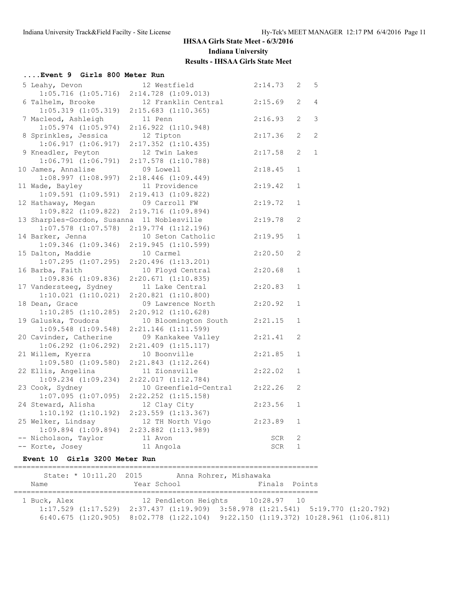# **....Event 9 Girls 800 Meter Run**

| 5 Leahy, Devon              | 12 Westfield            | 2:14.73 | 2                     | 5            |
|-----------------------------|-------------------------|---------|-----------------------|--------------|
| $1:05.716$ $(1:05.716)$     | 2:14.728 (1:09.013)     |         |                       |              |
| 6 Talhelm, Brooke           | 12 Franklin Central     | 2:15.69 | $\overline{2}$        | 4            |
| $1:05.319$ $(1:05.319)$     | $2:15.683$ $(1:10.365)$ |         |                       |              |
| 7 Macleod, Ashleigh         | 11 Penn                 | 2:16.93 | $\mathbf{2}^{\prime}$ | 3            |
| $1:05.974$ $(1:05.974)$     | 2:16.922(1:10.948)      |         |                       |              |
| 8 Sprinkles, Jessica        | 12 Tipton               | 2:17.36 | $\mathbf{2}^{\prime}$ | 2            |
| 1:06.917(1:06.917)          | $2:17.352$ $(1:10.435)$ |         |                       |              |
| 9 Kneadler, Peyton          | 12 Twin Lakes           | 2:17.58 | 2                     | $\mathbf{1}$ |
| 1:06.791(1:06.791)          | $2:17.578$ $(1:10.788)$ |         |                       |              |
| 10 James, Annalise          | 09 Lowell               | 2:18.45 | $\mathbf{1}$          |              |
| 1:08.997(1:08.997)          | $2:18.446$ $(1:09.449)$ |         |                       |              |
| 11 Wade, Bayley             | 11 Providence           | 2:19.42 | $\mathbf{1}$          |              |
| $1:09.591$ $(1:09.591)$     | 2:19.413(1:09.822)      |         |                       |              |
| 12 Hathaway, Megan          | 09 Carroll FW           | 2:19.72 | $\mathbf{1}$          |              |
| $1:09.822$ $(1:09.822)$     | 2:19.716(1:09.894)      |         |                       |              |
| 13 Sharples-Gordon, Susanna | 11 Noblesville          | 2:19.78 | 2                     |              |
| $1:07.578$ $(1:07.578)$     | $2:19.774$ $(1:12.196)$ |         |                       |              |
| 14 Barker, Jenna            | 10 Seton Catholic       | 2:19.95 | $\mathbf 1$           |              |
| $1:09.346$ $(1:09.346)$     | 2:19.945(1:10.599)      |         |                       |              |
| 15 Dalton, Maddie           | 10 Carmel               | 2:20.50 | 2                     |              |
| $1:07.295$ $(1:07.295)$     | 2:20.496(1:13.201)      |         |                       |              |
| 16 Barba, Faith             | 10 Floyd Central        | 2:20.68 | $\mathbf{1}$          |              |
| $1:09.836$ $(1:09.836)$     | 2:20.671(1:10.835)      |         |                       |              |
| 17 Vandersteeg, Sydney      | 11 Lake Central         | 2:20.83 | $\mathbf{1}$          |              |
| $1:10.021$ $(1:10.021)$     | $2:20.821$ $(1:10.800)$ |         |                       |              |
| 18 Dean, Grace              | 09 Lawrence North       | 2:20.92 | $\mathbf 1$           |              |
| $1:10.285$ $(1:10.285)$     | 2:20.912 (1:10.628)     |         |                       |              |
| 19 Galuska, Toudora         | 10 Bloomington South    | 2:21.15 | $\mathbf 1$           |              |
| $1:09.548$ $(1:09.548)$     | 2:21.146 (1:11.599)     |         |                       |              |
| 20 Cavinder, Catherine      | 09 Kankakee Valley      | 2:21.41 | $\overline{2}$        |              |
| $1:06.292$ $(1:06.292)$     | $2:21.409$ $(1:15.117)$ |         |                       |              |
| 21 Willem, Kyerra           | 10 Boonville            | 2:21.85 | 1                     |              |
| $1:09.580$ $(1:09.580)$     | $2:21.843$ $(1:12.264)$ |         |                       |              |
| 22 Ellis, Angelina          | 11 Zionsville           | 2:22.02 | $\mathbf{1}$          |              |
| $1:09.234$ $(1:09.234)$     | 2:22.017(1:12.784)      |         |                       |              |
| 23 Cook, Sydney             | 10 Greenfield-Central   | 2:22.26 | 2                     |              |
| $1:07.095$ $(1:07.095)$     | 2:22.252 (1:15.158)     |         |                       |              |
| 24 Steward, Alisha          | 12 Clay City            | 2:23.56 | $\mathbf 1$           |              |
| $1:10.192$ $(1:10.192)$     | $2:23.559$ $(1:13.367)$ |         |                       |              |
| 25 Welker, Lindsay          | 12 TH North Vigo        | 2:23.89 | $\mathbf{1}$          |              |
| $1:09.894$ $(1:09.894)$     | $2:23.882$ $(1:13.989)$ |         |                       |              |
| -- Nicholson, Taylor        | 11 Avon                 | SCR     | 2                     |              |
| -- Korte, Josey             | 11 Angola               | SCR     | $\mathbf{1}$          |              |

### **Event 10 Girls 3200 Meter Run**

|              | State: * 10:11.20 2015  |             |                      | Anna Rohrer, Mishawaka |               |                                                                                                  |  |
|--------------|-------------------------|-------------|----------------------|------------------------|---------------|--------------------------------------------------------------------------------------------------|--|
| Name         |                         | Year School |                      |                        | Finals Points |                                                                                                  |  |
|              |                         |             |                      |                        |               |                                                                                                  |  |
| 1 Buck, Alex |                         |             | 12 Pendleton Heights |                        | 10:28.97 10   |                                                                                                  |  |
|              | $1:17.529$ $(1:17.529)$ |             |                      |                        |               | $2:37.437$ $(1:19.909)$ $3:58.978$ $(1:21.541)$ $5:19.770$ $(1:20.792)$                          |  |
|              |                         |             |                      |                        |               | $6:40.675$ $(1:20.905)$ $8:02.778$ $(1:22.104)$ $9:22.150$ $(1:19.372)$ $10:28.961$ $(1:06.811)$ |  |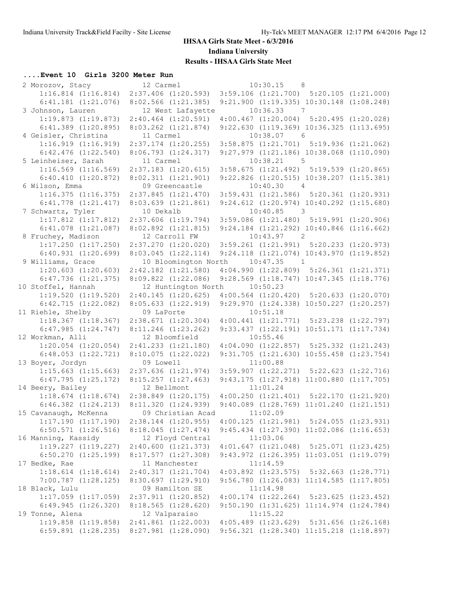### **....Event 10 Girls 3200 Meter Run**

| 2 Morozov, Stacy        | 12 Carmel               | 10:30.15<br>8 <sup>8</sup>                       |                    |  |
|-------------------------|-------------------------|--------------------------------------------------|--------------------|--|
| $1:16.814$ $(1:16.814)$ | $2:37.406$ $(1:20.593)$ | $3:59.106$ $(1:21.700)$ $5:20.105$ $(1:21.000)$  |                    |  |
| $6:41.181$ $(1:21.076)$ | $8:02.566$ $(1:21.385)$ | 9:21.900 (1:19.335) 10:30.148 (1:08.248)         |                    |  |
| 3 Johnson, Lauren       | 12 West Lafayette       | 10:36.33<br>$\overline{7}$                       |                    |  |
| 1:19.873(1:19.873)      | $2:40.464$ $(1:20.591)$ | $4:00.467$ $(1:20.004)$ $5:20.495$ $(1:20.028)$  |                    |  |
| $6:41.389$ $(1:20.895)$ | $8:03.262$ $(1:21.874)$ | 9:22.630 (1:19.369) 10:36.325 (1:13.695)         |                    |  |
| 4 Geisler, Christina    | 11 Carmel               | $10:38.07$ 6                                     |                    |  |
| 1:16.919(1:16.919)      | $2:37.174$ $(1:20.255)$ | $3:58.875$ $(1:21.701)$ $5:19.936$ $(1:21.062)$  |                    |  |
| $6:42.476$ $(1:22.540)$ | 8:06.793(1:24.317)      | 9:27.979 (1:21.186) 10:38.068 (1:10.090)         |                    |  |
| 5 Leinheiser, Sarah     | 11 Carmel               | 10:38.21<br>$5^{\circ}$                          |                    |  |
| $1:16.569$ $(1:16.569)$ | $2:37.183$ $(1:20.615)$ | $3:58.675$ $(1:21.492)$ $5:19.539$ $(1:20.865)$  |                    |  |
| 6:40.410(1:20.872)      | 8:02.311(1:21.901)      | 9:22.826 (1:20.515) 10:38.207 (1:15.381)         |                    |  |
| 6 Wilson, Emma          | 09 Greencastle          | $\overline{4}$<br>10:40.30                       |                    |  |
| 1:16.375(1:16.375)      | 2:37.845(1:21.470)      | $3:59.431$ $(1:21.586)$ $5:20.361$ $(1:20.931)$  |                    |  |
| $6:41.778$ $(1:21.417)$ | 8:03.639(1:21.861)      | 9:24.612 (1:20.974) 10:40.292 (1:15.680)         |                    |  |
| 7 Schwartz, Tyler       | 10 Dekalb               | 10:40.85<br>$\overline{\phantom{a}}$             |                    |  |
| $1:17.812$ $(1:17.812)$ | $2:37.606$ $(1:19.794)$ | $3:59.086$ $(1:21.480)$ $5:19.991$ $(1:20.906)$  |                    |  |
| $6:41.078$ $(1:21.087)$ | 8:02.892 (1:21.815)     | 9:24.184 (1:21.292) 10:40.846 (1:16.662)         |                    |  |
| 8 Fruchey, Madison      | 12 Carroll FW           | $\overline{\phantom{a}}$<br>10:43.97             |                    |  |
| $1:17.250$ $(1:17.250)$ | $2:37.270$ $(1:20.020)$ | $3:59.261$ $(1:21.991)$ $5:20.233$ $(1:20.973)$  |                    |  |
| $6:40.931$ $(1:20.699)$ | 8:03.045(1:22.114)      | $9:24.118$ $(1:21.074)$ $10:43.970$ $(1:19.852)$ |                    |  |
| 9 Williams, Grace       | 10 Bloomington North    | 10:47.35<br>$\overline{1}$                       |                    |  |
| $1:20.603$ $(1:20.603)$ | $2:42.182$ $(1:21.580)$ | $4:04.990$ $(1:22.809)$ $5:26.361$ $(1:21.371)$  |                    |  |
| $6:47.736$ $(1:21.375)$ | $8:09.822$ $(1:22.086)$ | 9:28.569 (1:18.747) 10:47.345 (1:18.776)         |                    |  |
| 10 Stoffel, Hannah      | 12 Huntington North     | 10:50.23                                         |                    |  |
| $1:19.520$ $(1:19.520)$ | 2:40.145(1:20.625)      | $4:00.564$ $(1:20.420)$ $5:20.633$ $(1:20.070)$  |                    |  |
| 6:42.715(1:22.082)      | 8:05.633(1:22.919)      | 9:29.970 (1:24.338) 10:50.227 (1:20.257)         |                    |  |
| 11 Riehle, Shelby       | 09 LaPorte              | 10:51.18                                         |                    |  |
| $1:18.367$ $(1:18.367)$ | $2:38.671$ $(1:20.304)$ | $4:00.441$ $(1:21.771)$ $5:23.238$ $(1:22.797)$  |                    |  |
| 6:47.985(1:24.747)      | $8:11.246$ $(1:23.262)$ | 9:33.437 (1:22.191) 10:51.171 (1:17.734)         |                    |  |
| 12 Workman, Alli        | 12 Bloomfield           | 10:55.46                                         |                    |  |
| $1:20.054$ $(1:20.054)$ | 2:41.233 (1:21.180)     | $4:04.090$ $(1:22.857)$ $5:25.332$ $(1:21.243)$  |                    |  |
| $6:48.053$ $(1:22.721)$ | 8:10.075(1:22.022)      | 9:31.705 (1:21.630) 10:55.458 (1:23.754)         |                    |  |
| 13 Boyer, Jordyn        | 09 Lowell               | 11:00.88                                         |                    |  |
| $1:15.663$ $(1:15.663)$ | $2:37.636$ $(1:21.974)$ | $3:59.907$ $(1:22.271)$ $5:22.623$ $(1:22.716)$  |                    |  |
| 6:47.795(1:25.172)      | 8:15.257(1:27.463)      | 9:43.175 (1:27.918) 11:00.880 (1:17.705)         |                    |  |
| 14 Beery, Bailey        | 12 Bellmont             | 11:01.24                                         |                    |  |
| $1:18.674$ $(1:18.674)$ | $2:38.849$ $(1:20.175)$ | $4:00.250$ $(1:21.401)$ $5:22.170$ $(1:21.920)$  |                    |  |
| $6:46.382$ $(1:24.213)$ | 8:11.320(1:24.939)      | $9:40.089$ $(1:28.769)$ $11:01.240$ $(1:21.151)$ |                    |  |
| 15 Cavanaugh, McKenna   | 09 Christian Acad       | 11:02.09                                         |                    |  |
| $1:17.190$ $(1:17.190)$ | $2:38.144$ $(1:20.955)$ | $4:00.125$ $(1:21.981)$ $5:24.055$ $(1:23.931)$  |                    |  |
| $6:50.571$ $(1:26.516)$ | 8:18.045(1:27.474)      | 9:45.434 (1:27.390) 11:02.086 (1:16.653)         |                    |  |
| 16 Manning, Kassidy     | 12 Floyd Central        | 11:03.06                                         |                    |  |
| $1:19.227$ $(1:19.227)$ | 2:40.600(1:21.373)      | $4:01.647$ $(1:21.048)$ $5:25.071$ $(1:23.425)$  |                    |  |
| $6:50.270$ $(1:25.199)$ | 8:17.577(1:27.308)      | 9:43.972 (1:26.395) 11:03.051 (1:19.079)         |                    |  |
| 17 Bedke, Rae           | 11 Manchester           | 11:14.59                                         |                    |  |
| $1:18.614$ $(1:18.614)$ | 2:40.317(1:21.704)      | $4:03.892$ $(1:23.575)$ $5:32.663$ $(1:28.771)$  |                    |  |
| 7:00.787 (1:28.125)     | 8:30.697 (1:29.910)     | 9:56.780 (1:26.083) 11:14.585 (1:17.805)         |                    |  |
| 18 Black, Lulu          | 09 Hamilton SE          | 11:14.98                                         |                    |  |
| $1:17.059$ $(1:17.059)$ | $2:37.911$ $(1:20.852)$ | $4:00.174$ $(1:22.264)$                          | 5:23.625(1:23.452) |  |
| $6:49.945$ $(1:26.320)$ | 8:18.565(1:28.620)      | 9:50.190 (1:31.625) 11:14.974 (1:24.784)         |                    |  |
| 19 Tonne, Alena         | 12 Valparaiso           | 11:15.22                                         |                    |  |
| $1:19.858$ $(1:19.858)$ | $2:41.861$ $(1:22.003)$ | $4:05.489$ $(1:23.629)$ $5:31.656$ $(1:26.168)$  |                    |  |
| $6:59.891$ $(1:28.235)$ | 8:27.981 (1:28.090)     | 9:56.321 (1:28.340) 11:15.218 (1:18.897)         |                    |  |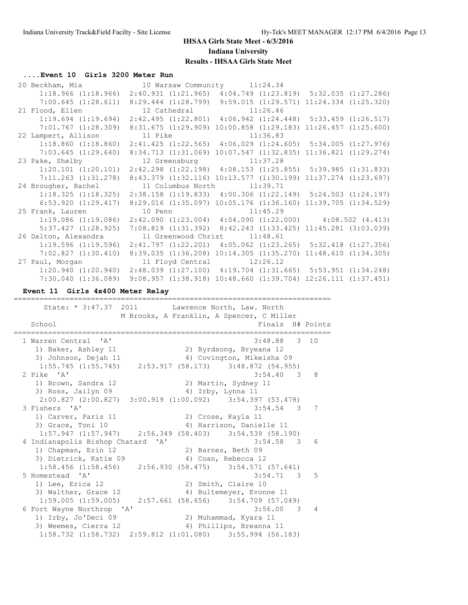#### **....Event 10 Girls 3200 Meter Run**

| 20 Beckham, Mia    10 Warsaw Community    11:24.34                                              |                                                                           |          |  |                          |
|-------------------------------------------------------------------------------------------------|---------------------------------------------------------------------------|----------|--|--------------------------|
| $1:18.966$ (1:18.966) $2:40.931$ (1:21.965) $4:04.749$ (1:23.819) 5:32.035 (1:27.286)           |                                                                           |          |  |                          |
| 7:00.645 (1:28.611) 8:29.444 (1:28.799) 9:59.015 (1:29.571) 11:24.334 (1:25.320)                |                                                                           |          |  |                          |
| 21 Flood, Ellen 12 Cathedral 11:26.46                                                           |                                                                           |          |  |                          |
| $1:19.694$ $(1:19.694)$ $2:42.495$ $(1:22.801)$ $4:06.942$ $(1:24.448)$ $5:33.459$ $(1:26.517)$ |                                                                           |          |  |                          |
| 7:01.767 (1:28.309)                                                                             | 8:31.675 (1:29.909) 10:00.858 (1:29.183) 11:26.457 (1:25.600)             |          |  |                          |
| 22 Lampert, Allison                                                                             | 11 Pike                                                                   | 11:36.83 |  |                          |
| $1:18.860$ (1:18.860) $2:41.425$ (1:22.565) $4:06.029$ (1:24.605) 5:34.005 (1:27.976)           |                                                                           |          |  |                          |
| 7:03.645(1:29.640)                                                                              | 8:34.713 (1:31.069) 10:07.547 (1:32.835) 11:36.821 (1:29.274)             |          |  |                          |
| 23 Pake, Shelby 12 Greensburg 11:37.28                                                          |                                                                           |          |  |                          |
| $1:20.101$ $(1:20.101)$ $2:42.298$ $(1:22.198)$ $4:08.153$ $(1:25.855)$ $5:39.985$ $(1:31.833)$ |                                                                           |          |  |                          |
| 7:11.263 (1:31.278)                                                                             | $8:43.379$ $(1:32.116)$ $10:13.577$ $(1:30.199)$                          |          |  | $11:37.274$ $(1:23.697)$ |
|                                                                                                 |                                                                           |          |  |                          |
| 24 Brougher, Rachel                                                                             | 11 Columbus North 11:39.71                                                |          |  |                          |
| $1:18.325$ (1:18.325) 2:38.158 (1:19.833) 4:00.306 (1:22.149) 5:24.503 (1:24.197)               |                                                                           |          |  |                          |
| 6:53.920 (1:29.417) 8:29.016 (1:35.097) 10:05.176 (1:36.160) 11:39.705 (1:34.529)               |                                                                           |          |  |                          |
| 25 Frank, Lauren                                                                                | 10 Penn 11:45.29                                                          |          |  |                          |
| $1:19.086$ $(1:19.086)$                                                                         | $2:42.090$ $(1:23.004)$ $4:04.090$ $(1:22.000)$ $4:08.502$ $(4.413)$      |          |  |                          |
| $5:37.427$ $(1:28.925)$                                                                         | 7:08.819 (1:31.392) 8:42.243 (1:33.425) 11:45.281 (3:03.039)              |          |  |                          |
| 26 Dalton, Alexandra                                                                            | 11 Greenwood Christ 11:48.61                                              |          |  |                          |
| $1:19.596$ (1:19.596) $2:41.797$ (1:22.201) $4:05.062$ (1:23.265) $5:32.418$ (1:27.356)         |                                                                           |          |  |                          |
| 7:02.827(1:30.410)                                                                              | 8:39.035 (1:36.208) 10:14.305 (1:35.270) 11:48.610 (1:34.305)             |          |  |                          |
| 27 Paul, Morgan 11 Floyd Central 12:26.12                                                       |                                                                           |          |  |                          |
| 1:20.940 (1:20.940) 2:48.039 (1:27.100) 4:19.704 (1:31.665) 5:53.951 (1:34.248)                 | $9:08.957$ $(1:38.918)$ $10:48.660$ $(1:39.704)$ $12:26.111$ $(1:37.451)$ |          |  |                          |

**Event 11 Girls 4x400 Meter Relay**

State: \* 3:47.37 2011 Lawrence North, Law. North M Brooks, A Franklin, A Spencer, C Miller School **Finals H#** Points ========================================================================== 1 Warren Central 'A' 3:48.88 3 10 1) Baker, Ashley 11 2) Byrdsong, Bryeana 12 3) Johnson, Dejah 11 4) Covington, Mikeisha 09 1:55.745 (1:55.745) 2:53.917 (58.173) 3:48.872 (54.955) 2 Pike 'A' 3:54.40 3 8 1) Brown, Sandra 12 2) Martin, Sydney 11 3) Ross, Jailyn 09 4) Irby, Lynna 11 2:00.827 (2:00.827) 3:00.919 (1:00.092) 3:54.397 (53.478) 3 Fishers 'A' 3:54.54 3 7 1) Carver, Paris 11 (2) Crose, Kayla 11<br>3) Grace, Toni 10 (2) 4) Harrison, Danie 3) Grace, Toni 10 4) Harrison, Danielle 11 1:57.947 (1:57.947) 2:56.349 (58.403) 3:54.539 (58.190) 4 Indianapolis Bishop Chatard 'A' 3:54.58 3 6 1) Chapman, Erin 12 2) Barnes, Beth 09 3) Dietrick, Katie 09 (4) Coan, Rebecca 12 1:58.456 (1:58.456) 2:56.930 (58.475) 3:54.571 (57.641) 5 Homestead 'A' 3:54.71 3 5 1) Lee, Erica 12 2) Smith, Claire 10 3) Walther, Grace 12 4) Bultemeyer, Evonne 11 1:59.005 (1:59.005) 2:57.661 (58.656) 3:54.709 (57.049) 6 Fort Wayne Northrop 'A' 3:56.00 3 4 1) Irby, Jo'Deci 09 2) Muhammad, Kyara 11 3) Weemes, Cierra 12 4) Phillips, Breanna 11 1:58.732 (1:58.732) 2:59.812 (1:01.080) 3:55.994 (56.183)

==========================================================================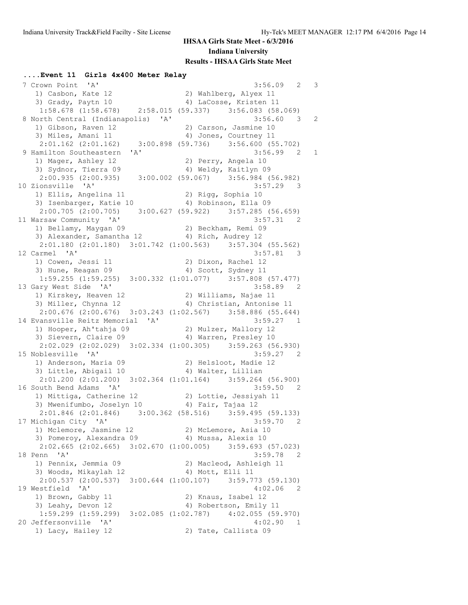**....Event 11 Girls 4x400 Meter Relay**

 7 Crown Point 'A' 3:56.09 2 3 1) Casbon, Kate 12 2) Wahlberg, Alyex 11 3) Grady, Paytn 10 4) LaCosse, Kristen 11 1:58.678 (1:58.678) 2:58.015 (59.337) 3:56.083 (58.069) 8 North Central (Indianapolis) 'A' 3:56.60 3 2 1) Gibson, Raven 12 2) Carson, Jasmine 10 3) Miles, Amani 11 4) Jones, Courtney 11 2:01.162 (2:01.162) 3:00.898 (59.736) 3:56.600 (55.702) 9 Hamilton Southeastern 'A' 3:56.99 2 1 1) Mager, Ashley 12 2) Perry, Angela 10 3) Sydnor, Tierra 09 1944 (4) Weldy, Kaitlyn 09 2:00.935 (2:00.935) 3:00.002 (59.067) 3:56.984 (56.982) 10 Zionsville 'A' 3:57.29 3 1) Ellis, Angelina 11 2) Rigg, Sophia 10 3) Isenbarger, Katie 10 (4) Robinson, Ella 09 2:00.705 (2:00.705) 3:00.627 (59.922) 3:57.285 (56.659) 11 Warsaw Community 'A' 3:57.31 2 1) Bellamy, Maygan 09 2) Beckham, Remi 09 3) Alexander, Samantha 12 4) Rich, Audrey 12 2:01.180 (2:01.180) 3:01.742 (1:00.563) 3:57.304 (55.562)<br>12 Carmel 'A' 3:57.81 3 12 Carmel 'A' 3:57.81 3 1) Cowen, Jessi 11 2) Dixon, Rachel 12 3) Hune, Reagan 09 (4) Scott, Sydney 11 1:59.255 (1:59.255) 3:00.332 (1:01.077) 3:57.808 (57.477) 13 Gary West Side 'A' 3:58.89 2 1) Kirskey, Heaven 12 2) Williams, Najae 11 3) Miller, Chynna 12 4) Christian, Antonise 11 2:00.676 (2:00.676) 3:03.243 (1:02.567) 3:58.886 (55.644) 14 Evansville Reitz Memorial 'A' 3:59.27 1 1) Hooper, Ah'tahja 09 2) Mulzer, Mallory 12 3) Sievern, Claire 09 4) Warren, Presley 10 2:02.029 (2:02.029) 3:02.334 (1:00.305) 3:59.263 (56.930)<br>15 Noblesville 'A' 3:59.27 2 15 Noblesville 'A' 3:59.27 2 1) Anderson, Maria 09 2) Helsloot, Madie 12 3) Little, Abigail 10 (4) Walter, Lillian 2:01.200 (2:01.200) 3:02.364 (1:01.164) 3:59.264 (56.900) 16 South Bend Adams 'A' 3:59.50 2 1) Mittiga, Catherine 12 2) Lottie, Jessiyah 11 3) Mwenifumbo, Joselyn 10  $\qquad \qquad$  4) Fair, Tajaa 12 2:01.846 (2:01.846) 3:00.362 (58.516) 3:59.495 (59.133) 17 Michigan City 'A' 3:59.70 2 1) Mclemore, Jasmine 12 (2) McLemore, Asia 10 3) Pomeroy, Alexandra 09 4) Mussa, Alexis 10 2:02.665 (2:02.665) 3:02.670 (1:00.005) 3:59.693 (57.023)<br>18 Penn 'A' 3:59.78 2 18 Penn 'A' 3:59.78 2 1) Pennix, Jemmia 09 2) Macleod, Ashleigh 11 3) Woods, Mikaylah 12 (4) Mott, Elli 11 2:00.537 (2:00.537) 3:00.644 (1:00.107) 3:59.773 (59.130) 19 Westfield 'A' 4:02.06 2 1) Brown, Gabby 11 2) Knaus, Isabel 12 3) Leahy, Devon 12 4) Robertson, Emily 11 1:59.299 (1:59.299) 3:02.085 (1:02.787) 4:02.055 (59.970) 20 Jeffersonville 'A' 4:02.90 1 1) Lacy, Hailey 12 2) Tate, Callista 09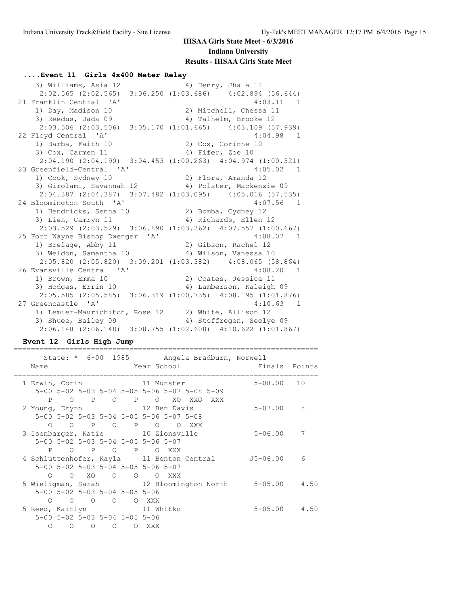#### **....Event 11 Girls 4x400 Meter Relay**

3) Williams, Asia 12 4) Henry, Jhala 11 2:02.565 (2:02.565) 3:06.250 (1:03.686) 4:02.894 (56.644) 21 Franklin Central 'A' 4:03.11 1 1) Day, Madison 10 2) Mitchell, Chessa 11 3) Reedus, Jada 09 4) Talhelm, Brooke 12 2:03.506 (2:03.506) 3:05.170 (1:01.665) 4:03.109 (57.939) 22 Floyd Central 'A' 4:04.98 1<br>1) Barba, Faith 10 4:04.98 2) Cox, Corinne 10 1) Barba, Faith 10 2) Cox, Corinne 10 3) Cox, Carmen 11 4) Fifer, Zoe 10 2:04.190 (2:04.190) 3:04.453 (1:00.263) 4:04.974 (1:00.521) 23 Greenfield-Central 'A' 4:05.02 1 1) Cook, Sydney 10 2) Flora, Amanda 12 3) Girolami, Savannah 12 4) Polster, Mackenzie 09 2:04.387 (2:04.387) 3:07.482 (1:03.095) 4:05.016 (57.535)<br>loomington South 'A' 4:07.56 1 24 Bloomington South 'A' 1) Hendricks, Senna 10 2) Bomba, Cydney 12 3) Lien, Camryn 11 4) Richards, Ellen 12 2:03.529 (2:03.529) 3:06.890 (1:03.362) 4:07.557 (1:00.667) 25 Fort Wayne Bishop Dwenger 'A' 4:08.07 1 1) Brelage, Abby 11 2) Gibson, Rachel 12 3) Weldon, Samantha 10 4) Wilson, Vanessa 10 2:05.820 (2:05.820) 3:09.201 (1:03.382) 4:08.065 (58.864) 26 Evansville Central 'A' 4:08.20 1 1) Brown, Emma 10 2) Coates, Jessica 11 3) Hodges, Errin 10  $\hskip1cm$  4) Lamberson, Kaleigh 09 2:05.585 (2:05.585) 3:06.319 (1:00.735) 4:08.195 (1:01.876) 27 Greencastle 'A' 4:10.63 1 1) Lemier-Maurichitch, Rose 12 2) White, Allison 12 3) Shuee, Bailey 09 4) Stoffregen, Seelye 09 2:06.148 (2:06.148) 3:08.755 (1:02.608) 4:10.622 (1:01.867)

#### **Event 12 Girls High Jump**

| Name                              |                                         |  |       |                                              |                                           | State: * 6-00 1985 Angela Bradburn, Norwell<br><b>Example 2</b> Year School Einals Points |  |
|-----------------------------------|-----------------------------------------|--|-------|----------------------------------------------|-------------------------------------------|-------------------------------------------------------------------------------------------|--|
| 1 Erwin, Corin 11 Munster         |                                         |  |       |                                              |                                           | 5-08.00 10                                                                                |  |
|                                   |                                         |  |       | 5-00 5-02 5-03 5-04 5-05 5-06 5-07 5-08 5-09 |                                           |                                                                                           |  |
|                                   |                                         |  |       | P O P O P O XO XXO XXX                       |                                           |                                                                                           |  |
| 2 Young, Erynn 12 Ben Davis       |                                         |  |       |                                              |                                           | $5 - 07.00$ 8                                                                             |  |
|                                   |                                         |  |       | 5-00 5-02 5-03 5-04 5-05 5-06 5-07 5-08      |                                           |                                                                                           |  |
|                                   |                                         |  |       | O O P O P O O XXX                            |                                           |                                                                                           |  |
| 3 Isenbarger, Katie 10 Zionsville |                                         |  |       |                                              |                                           | 5-06.00 7                                                                                 |  |
|                                   | 5-00 5-02 5-03 5-04 5-05 5-06 5-07      |  |       |                                              |                                           |                                                                                           |  |
|                                   | P O P O P O XXX                         |  |       |                                              |                                           |                                                                                           |  |
|                                   |                                         |  |       |                                              | 4 Schluttenhofer, Kayla 11 Benton Central | J5-06.00 6                                                                                |  |
|                                   | 5-00 5-02 5-03 5-04 5-05 5-06 5-07      |  |       |                                              |                                           |                                                                                           |  |
|                                   | O O XO O O O XXX                        |  |       |                                              |                                           |                                                                                           |  |
|                                   |                                         |  |       |                                              |                                           | 5 Wieligman, Sarah 12 Bloomington North 5-05.00 4.50                                      |  |
|                                   | 5-00 5-02 5-03 5-04 5-05 5-06           |  |       |                                              |                                           |                                                                                           |  |
| $\Omega$                          | O O O O XXX                             |  |       |                                              |                                           |                                                                                           |  |
| 5 Reed, Kaitlyn 11 Whitko         |                                         |  |       |                                              |                                           | $5 - 05.00$ 4.50                                                                          |  |
|                                   | 5-00 5-02 5-03 5-04 5-05 5-06           |  |       |                                              |                                           |                                                                                           |  |
| $\bigcirc$                        | $\begin{matrix} 0 & 0 & 0 \end{matrix}$ |  | O XXX |                                              |                                           |                                                                                           |  |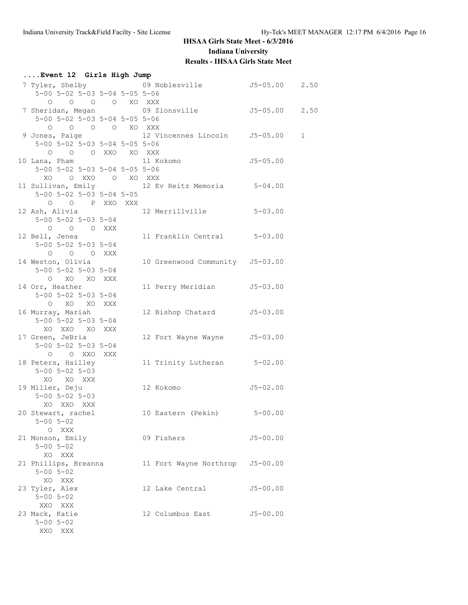| Event 12 Girls High Jump |                                              |  |  |                                                  |              |  |  |
|--------------------------|----------------------------------------------|--|--|--------------------------------------------------|--------------|--|--|
|                          |                                              |  |  | 7 Tyler, Shelby 69 Noblesville 55-05.00 2.50     |              |  |  |
|                          | $5-00$ $5-02$ $5-03$ $5-04$ $5-05$ $5-06$    |  |  |                                                  |              |  |  |
|                          | 0 0 0 0 XO XXX                               |  |  |                                                  |              |  |  |
|                          |                                              |  |  | 7 Sheridan, Megan 509 Zionsville 55-05.00 2.50   |              |  |  |
|                          | 5-00 5-02 5-03 5-04 5-05 5-06                |  |  |                                                  |              |  |  |
|                          | 0 0 0 0 XO XXX                               |  |  |                                                  |              |  |  |
|                          |                                              |  |  | 9 Jones, Paige 3 12 Vincennes Lincoln 55-05.00 1 |              |  |  |
|                          | $5-00$ $5-02$ $5-03$ $5-04$ $5-05$ $5-06$    |  |  |                                                  |              |  |  |
|                          | O O O XXO XO XXX                             |  |  |                                                  |              |  |  |
|                          |                                              |  |  | 10 Lana, Pham 11 Kokomo 55-05.00                 |              |  |  |
|                          | 5-00 5-02 5-03 5-04 5-05 5-06                |  |  |                                                  |              |  |  |
|                          | XO OXXO OXOXXX                               |  |  |                                                  |              |  |  |
|                          |                                              |  |  | 11 Sullivan, Emily 12 Ev Reitz Memoria 5-04.00   |              |  |  |
|                          | $5 - 00$ $5 - 02$ $5 - 03$ $5 - 04$ $5 - 05$ |  |  |                                                  |              |  |  |
|                          | O O P XXO XXX                                |  |  |                                                  |              |  |  |
|                          |                                              |  |  | 12 Ash, Alivia 12 Merrillville 5-03.00           |              |  |  |
|                          | 5-00 5-02 5-03 5-04                          |  |  |                                                  |              |  |  |
|                          | O O O XXX                                    |  |  |                                                  |              |  |  |
|                          | 12 Bell, Jenea                               |  |  | 11 Franklin Central 5-03.00                      |              |  |  |
|                          | 5-00 5-02 5-03 5-04                          |  |  |                                                  |              |  |  |
|                          | O O O XXX                                    |  |  |                                                  |              |  |  |
|                          | 14 Weston, Olivia                            |  |  | 10 Greenwood Community J5-03.00                  |              |  |  |
|                          | $5 - 00$ $5 - 02$ $5 - 03$ $5 - 04$          |  |  |                                                  |              |  |  |
|                          | O XO XO XXX                                  |  |  |                                                  |              |  |  |
|                          | 14 Orr, Heather                              |  |  | 11 Perry Meridian J5-03.00                       |              |  |  |
|                          | $5 - 00$ $5 - 02$ $5 - 03$ $5 - 04$          |  |  |                                                  |              |  |  |
|                          | O XO XO XXX                                  |  |  |                                                  |              |  |  |
|                          | 16 Murray, Mariah                            |  |  | 12 Bishop Chatard J5-03.00                       |              |  |  |
|                          | 5-00 5-02 5-03 5-04                          |  |  |                                                  |              |  |  |
|                          | XO XXO XO XXX                                |  |  |                                                  |              |  |  |
|                          | 17 Green, JeBria                             |  |  | 12 Fort Wayne Wayne J5-03.00                     |              |  |  |
|                          | 5-00 5-02 5-03 5-04                          |  |  |                                                  |              |  |  |
|                          | O O XXO XXX                                  |  |  |                                                  |              |  |  |
|                          | 18 Peters, Hailley                           |  |  | 11 Trinity Lutheran 5-02.00                      |              |  |  |
|                          | $5 - 00$ $5 - 02$ $5 - 03$                   |  |  |                                                  |              |  |  |
|                          | XO XO XXX                                    |  |  |                                                  |              |  |  |
|                          | 19 Miller, Deju                              |  |  | 12 Kokomo 55-02.00                               |              |  |  |
|                          | $5 - 00$ $5 - 02$ $5 - 03$                   |  |  |                                                  |              |  |  |
|                          | XO XXO XXX                                   |  |  |                                                  |              |  |  |
|                          | 20 Stewart, rachel                           |  |  | 10 Eastern (Pekin) 5-00.00                       |              |  |  |
|                          | $5 - 00$ $5 - 02$                            |  |  |                                                  |              |  |  |
|                          | O XXX                                        |  |  |                                                  |              |  |  |
|                          | 21 Monson, Emily                             |  |  | 09 Fishers                                       | $J5 - 00.00$ |  |  |
|                          | $5 - 00$ $5 - 02$                            |  |  |                                                  |              |  |  |
|                          | XO XXX                                       |  |  |                                                  |              |  |  |
|                          | 21 Phillips, Breanna                         |  |  | 11 Fort Wayne Northrop                           | $J5 - 00.00$ |  |  |
|                          | $5 - 00$ $5 - 02$                            |  |  |                                                  |              |  |  |
|                          | XO XXX                                       |  |  |                                                  |              |  |  |
|                          | 23 Tyler, Alex                               |  |  | 12 Lake Central                                  | $J5 - 00.00$ |  |  |
|                          | $5 - 00$ $5 - 02$                            |  |  |                                                  |              |  |  |
|                          | XXO XXX                                      |  |  |                                                  |              |  |  |
|                          | 23 Mack, Katie                               |  |  | 12 Columbus East                                 | $J5 - 00.00$ |  |  |
|                          | $5 - 00$ $5 - 02$                            |  |  |                                                  |              |  |  |
|                          | XXO XXX                                      |  |  |                                                  |              |  |  |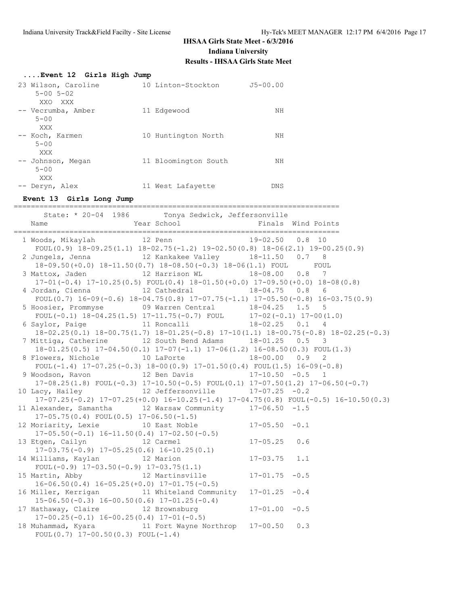| Event 12 Girls High Jump                                                                                                                         |                                   |                                        |                    |
|--------------------------------------------------------------------------------------------------------------------------------------------------|-----------------------------------|----------------------------------------|--------------------|
| 23 Wilson, Caroline                                                                                                                              | 10 Linton-Stockton J5-00.00       |                                        |                    |
| $5 - 00$ $5 - 02$                                                                                                                                |                                   |                                        |                    |
| XXO XXX                                                                                                                                          |                                   |                                        |                    |
| -- Vecrumba, Amber 11 Edgewood                                                                                                                   |                                   | NH                                     |                    |
| $5 - 00$<br>XXX                                                                                                                                  |                                   |                                        |                    |
| -- Koch, Karmen 10 Huntington North                                                                                                              |                                   | <b>In the Second State State State</b> |                    |
| $5 - 00$                                                                                                                                         |                                   |                                        |                    |
| XXX                                                                                                                                              |                                   |                                        |                    |
| -- Johnson, Megan 11 Bloomington South                                                                                                           |                                   | NH                                     |                    |
| $5 - 00$<br>XXX                                                                                                                                  |                                   |                                        |                    |
| -- Deryn, Alex 11 West Lafayette                                                                                                                 |                                   | DNS                                    |                    |
|                                                                                                                                                  |                                   |                                        |                    |
| Event 13 Girls Long Jump                                                                                                                         |                                   |                                        |                    |
| State: * 20-04 1986 Tonya Sedwick, Jeffersonville                                                                                                |                                   |                                        |                    |
| Name                                                                                                                                             | Year School The Manuscript School |                                        | Finals Wind Points |
| 1 Woods, Mikaylah 12 Penn 19-02.50 0.8 10                                                                                                        |                                   |                                        |                    |
| FOUL(0.9) $18-09.25(1.1)$ $18-02.75(-1.2)$ $19-02.50(0.8)$ $18-06(2.1)$ $19-00.25(0.9)$                                                          |                                   |                                        |                    |
| 2 Jungels, Jenna 12 Kankakee Valley 18-11.50 0.7 8                                                                                               |                                   |                                        |                    |
| 18-09.50(+0.0) 18-11.50(0.7) 18-08.50(-0.3) 18-06(1.1) FOUL FOUL                                                                                 |                                   |                                        |                    |
| 3 Mattox, Jaden 12 Harrison WL 18-08.00 0.8 7                                                                                                    |                                   |                                        |                    |
| $17-01(-0.4)$ $17-10.25(0.5)$ FOUL $(0.4)$ $18-01.50(+0.0)$ $17-09.50(+0.0)$ $18-08(0.8)$                                                        |                                   |                                        |                    |
| 4 Jordan, Cienna 12 Cathedral 18-04.75 0.8<br>$FOUL(0.7)$ 16-09(-0.6) 18-04.75(0.8) 17-07.75(-1.1) 17-05.50(-0.8) 16-03.75(0.9)                  |                                   |                                        | 6                  |
| 5 Hoosier, Prommyse 69 Warren Central 18-04.25 1.5                                                                                               |                                   |                                        | -5                 |
| FOUL $(-0.1)$ 18-04.25(1.5) 17-11.75(-0.7) FOUL 17-02(-0.1) 17-00(1.0)                                                                           |                                   |                                        |                    |
| 6 Saylor, Paige 11 Roncalli 18-02.25 0.1 4                                                                                                       |                                   |                                        |                    |
| $18-02.25(0.1) 18-00.75(1.7) 18-01.25(-0.8) 17-10(1.1) 18-00.75(-0.8) 18-02.25(-0.3)$                                                            |                                   |                                        |                    |
| 7 Mittiga, Catherine 12 South Bend Adams 18-01.25 0.5<br>18-01.25(0.5) 17-04.50(0.1) 17-07(-1.1) 17-06(1.2) 16-08.50(0.3) FOUL(1.3)              |                                   |                                        | 3                  |
| 8 Flowers, Nichole 10 LaPorte 18-00.00 0.9 2                                                                                                     |                                   |                                        |                    |
| FOUL(-1.4) $17-07.25(-0.3)$ $18-00(0.9)$ $17-01.50(0.4)$ FOUL(1.5) $16-09(-0.8)$                                                                 |                                   |                                        |                    |
| 9 Woodson, Ravon             12 Ben Davis             17-10.50 -0.5   1                                                                          |                                   |                                        |                    |
| $17-08.25(1.8)$ FOUL $(-0.3)$ $17-10.50(-0.5)$ FOUL $(0.1)$ $17-07.50(1.2)$ $17-06.50(-0.7)$                                                     |                                   |                                        |                    |
| 10 Lacy, Hailey 12 Jeffersonville 17-07.25 -0.2<br>$17-07.25(-0.2)$ $17-07.25(+0.0)$ $16-10.25(-1.4)$ $17-04.75(0.8)$ FOUL(-0.5) $16-10.50(0.3)$ |                                   |                                        |                    |
| 11 Alexander, Samantha 12 Warsaw Community 17-06.50 -1.5                                                                                         |                                   |                                        |                    |
| $17-05.75(0.4)$ FOUL $(0.5)$ $17-06.50(-1.5)$                                                                                                    |                                   |                                        |                    |
| 12 Moriarity, Lexie 10 East Noble                                                                                                                |                                   | $17 - 05.50 - 0.1$                     |                    |
| $17-05.50(-0.1)$ $16-11.50(0.4)$ $17-02.50(-0.5)$                                                                                                |                                   |                                        |                    |
| 13 Etgen, Cailyn<br>$17-03.75(-0.9)$ $17-05.25(0.6)$ $16-10.25(0.1)$                                                                             | 12 Carmel                         | $17 - 05.25$                           | 0.6                |
| 14 Williams, Kaylan                                                                                                                              | 12 Marion                         | $17 - 03.75$                           | 1.1                |
| FOUL $(-0.9)$ 17-03.50 $(-0.9)$ 17-03.75 $(1.1)$                                                                                                 |                                   |                                        |                    |
| 15 Martin, Abby                                                                                                                                  | 12 Martinsville                   | $17 - 01.75$                           | $-0.5$             |
| $16-06.50(0.4)$ $16-05.25(+0.0)$ $17-01.75(-0.5)$                                                                                                |                                   |                                        |                    |
| 16 Miller, Kerrigan                                                                                                                              | 11 Whiteland Community            | $17 - 01.25$                           | $-0.4$             |
| $15-06.50(-0.3)$ $16-00.50(0.6)$ $17-01.25(-0.4)$<br>17 Hathaway, Claire                                                                         | 12 Brownsburg                     | $17 - 01.00$                           | $-0.5$             |
| $17-00.25(-0.1)$ $16-00.25(0.4)$ $17-01(-0.5)$                                                                                                   |                                   |                                        |                    |
| 18 Muhammad, Kyara 11 Fort Wayne Northrop                                                                                                        |                                   | $17 - 00.50$                           | 0.3                |
| FOUL $(0.7)$ 17-00.50 $(0.3)$ FOUL $(-1.4)$                                                                                                      |                                   |                                        |                    |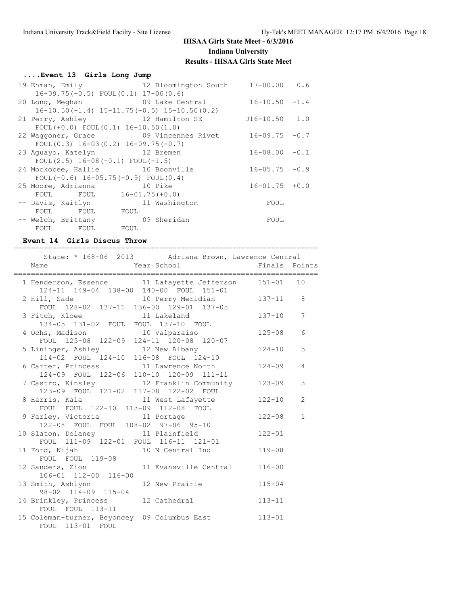# **....Event 13 Girls Long Jump**

| 19 Ehman, Emily                              | 12 Bloomington South 17-00.00 0.6                   |                    |  |
|----------------------------------------------|-----------------------------------------------------|--------------------|--|
| $16-09.75(-0.5)$ FOUL $(0.1)$ 17-00 $(0.6)$  |                                                     |                    |  |
| 20 Long, Meghan 69 Lake Central              |                                                     | $16 - 10.50 - 1.4$ |  |
|                                              | $16-10.50(-1.4)$ $15-11.75(-0.5)$ $15-10.50(0.2)$   |                    |  |
|                                              | 21 Perry, Ashley 12 Hamilton SE                     | J16-10.50 1.0      |  |
| FOUL $(+0.0)$ FOUL $(0.1)$ 16-10.50 $(1.0)$  |                                                     |                    |  |
|                                              | 22 Waggoner, Grace 69 Vincennes Rivet 16-09.75 -0.7 |                    |  |
| FOUL $(0.3)$ 16-03 $(0.2)$ 16-09.75 $(-0.7)$ |                                                     |                    |  |
| 23 Aguayo, Katelyn 12 Bremen                 |                                                     | $16 - 08.00 - 0.1$ |  |
| FOUL $(2.5)$ 16-08 $(-0.1)$ FOUL $(-1.5)$    |                                                     |                    |  |
| 24 Mockobee, Hallie 10 Boonville             |                                                     | $16 - 05.75 - 0.9$ |  |
| FOUL $(-0.6)$ 16-05.75(-0.9) FOUL $(0.4)$    |                                                     |                    |  |
| 25 Moore, Adrianna 10 Pike                   |                                                     | $16 - 01.75 + 0.0$ |  |
| FOUL FOUL 16-01.75(+0.0)                     |                                                     |                    |  |
| -- Davis, Kaitlyn                            | 11 Washington                                       | FOUL               |  |
| FOUL FOUL FOUL                               |                                                     |                    |  |
| -- Welch, Brittany                           | 09 Sheridan                                         | FOUL               |  |
| FOUL FOUL FOUL                               |                                                     |                    |  |

#### **Event 14 Girls Discus Throw**

=======================================================================

| State: * 168-06 2013 Adriana Brown, Lawrence Central                                   |               |              |
|----------------------------------------------------------------------------------------|---------------|--------------|
| Finals Points                                                                          |               |              |
| 1 Henderson, Essence 11 Lafayette Jefferson<br>124-11 149-04 138-00 140-00 FOUL 151-01 | $151 - 01$ 10 |              |
| 2 Hill, Sade 10 Perry Meridian 137-11 8<br>FOUL 128-02 137-11 136-00 129-01 137-05     |               |              |
| 3 Fitch, Kloee 11 Lakeland<br>134-05 131-02 FOUL FOUL 137-10 FOUL                      | $137 - 10$    | 7            |
| 4 Ochs, Madison 10 Valparaiso 125-08<br>FOUL 125-08 122-09 124-11 120-08 120-07        |               | 6            |
| 5 Lininger, Ashley 12 New Albany 124-10<br>114-02 FOUL 124-10 116-08 FOUL 124-10       |               | 5            |
| 6 Carter, Princess 11 Lawrence North<br>124-09 FOUL 122-06 110-10 120-09 111-11        | $124 - 09$    | 4            |
| 7 Castro, Kinsley 12 Franklin Community<br>123-09 FOUL 121-02 117-08 122-02 FOUL       | 123-09        | 3            |
| 8 Harris, Kaia and 11 West Lafayette<br>FOUL FOUL 122-10 113-09 112-08 FOUL            | $122 - 10$    | 2            |
| 9 Farley, Victoria 11 Portage<br>122-08 FOUL FOUL 108-02 97-06 95-10                   | $122 - 08$    | $\mathbf{1}$ |
| 10 Slaton, Delaney 11 Plainfield<br>FOUL 111-09 122-01 FOUL 116-11 121-01              | $122 - 01$    |              |
| 11 Ford, Nijah 10 N Central Ind<br>FOUL FOUL 119-08                                    | $119 - 08$    |              |
| 12 Sanders, Zion 11 Evansville Central<br>$106 - 01$ $112 - 00$ $116 - 00$             | $116 - 00$    |              |
| 13 Smith, Ashlynn 12 New Prairie<br>98-02 114-09 115-04                                | $115 - 04$    |              |
| 14 Brinkley, Princess 12 Cathedral<br>FOUL FOUL 113-11                                 | $113 - 11$    |              |
| 15 Coleman-turner, Beyoncey 09 Columbus East 113-01<br>FOUL 113-01 FOUL                |               |              |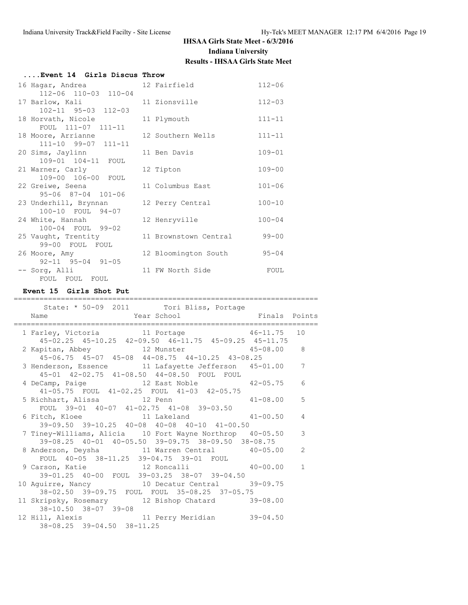| Event 14 Girls Discus Throw |                       |            |
|-----------------------------|-----------------------|------------|
| 16 Hagar, Andrea            | 12 Fairfield          | $112 - 06$ |
| 112-06 110-03 110-04        |                       |            |
| 17 Barlow, Kali             | 11 Zionsville         | $112 - 03$ |
| 102-11 95-03 112-03         |                       |            |
| 18 Horvath, Nicole          | 11 Plymouth           | $111 - 11$ |
| FOUL 111-07 111-11          |                       |            |
| 18 Moore, Arrianne          | 12 Southern Wells     | $111 - 11$ |
| 111-10 99-07 111-11         |                       |            |
| 20 Sims, Jaylinn            | 11 Ben Davis          | $109 - 01$ |
| 109-01 104-11 FOUL          |                       |            |
| 21 Warner, Carly            | 12 Tipton             | $109 - 00$ |
| 109-00 106-00 FOUL          |                       |            |
| 22 Greiwe, Seena            | 11 Columbus East      | $101 - 06$ |
| 95-06 87-04 101-06          |                       |            |
| 23 Underhill, Brynnan       | 12 Perry Central      | $100 - 10$ |
| 100-10 FOUL 94-07           |                       |            |
| 24 White, Hannah            | 12 Henryville         | $100 - 04$ |
| 100-04 FOUL 99-02           |                       |            |
| 25 Vaught, Trentity         | 11 Brownstown Central | $99 - 00$  |
| 99-00 FOUL FOUL             |                       |            |
| 26 Moore, Amy               | 12 Bloomington South  | $95 - 04$  |
| 92-11 95-04 91-05           |                       |            |
|                             |                       |            |
| -- Sorg, Alli               | 11 FW North Side      | FOUL       |
| FOUL FOUL FOUL              |                       |            |

#### **Event 15 Girls Shot Put**

#### ======================================================================= State: \* 50-09 2011 Tori Bliss, Portage Name Year School Finals Points ======================================================================= 1 Farley, Victoria 11 Portage 46-11.75 10 45-02.25 45-10.25 42-09.50 46-11.75 45-09.25 45-11.75 2 Kapitan, Abbey 12 Munster 45-06.75 45-07 45-08 44-08.75 44-10.25 43-08.25 3 Henderson, Essence 11 Lafayette Jefferson 45-01.00 7 45-01 42-02.75 41-08.50 44-08.50 FOUL FOUL 4 DeCamp, Paige 12 East Noble 42-05.75 6 41-05.75 FOUL 41-02.25 FOUL 41-03 42-05.75 5 Richhart, Alissa 12 Penn 41-08.00 5 FOUL 39-01 40-07 41-02.75 41-08 39-03.50 6 Fitch, Kloee 11 Lakeland 41-00.50 4 39-09.50 39-10.25 40-08 40-08 40-10 41-00.50 7 Tiney-Williams, Alicia 10 Fort Wayne Northrop 40-05.50 3 39-08.25 40-01 40-05.50 39-09.75 38-09.50 38-08.75 8 Anderson, Deysha 11 Warren Central 40-05.00 2 FOUL 40-05 38-11.25 39-04.75 39-01 FOUL 9 Carson, Katie 12 Roncalli 40-00.00 1 39-01.25 40-00 FOUL 39-03.25 38-07 39-04.50 10 Aguirre, Nancy 10 Decatur Central 39-09.75 38-02.50 39-09.75 FOUL FOUL 35-08.25 37-05.75 11 Skripsky, Rosemary 12 Bishop Chatard 39-08.00 38-10.50 38-07 39-08 12 Hill, Alexis 11 Perry Meridian 39-04.50 38-08.25 39-04.50 38-11.25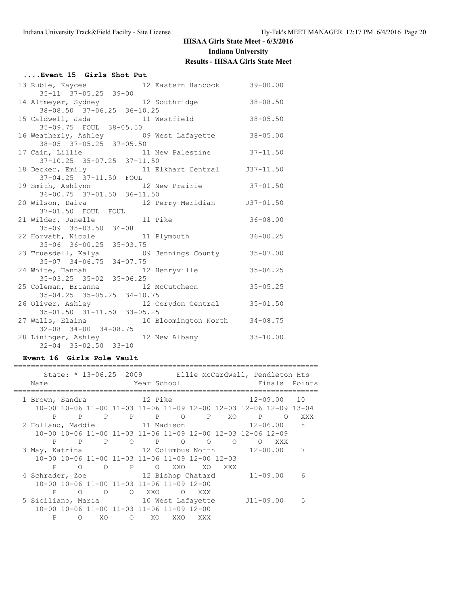| Event 15 Girls Shot Put                                                 |              |
|-------------------------------------------------------------------------|--------------|
| 13 Ruble, Kaycee 12 Eastern Hancock 39-00.00                            |              |
| $35 - 11$ $37 - 05.25$ $39 - 00$                                        |              |
| 14 Altmeyer, Sydney 12 Southridge                                       | $38 - 08.50$ |
| 38-08.50 37-06.25 36-10.25                                              |              |
| 15 Caldwell, Jada and 11 Westfield                                      | $38 - 05.50$ |
| 35-09.75 FOUL 38-05.50                                                  |              |
| 16 Weatherly, Ashley 69 West Lafayette 38-05.00                         |              |
| 38-05 37-05.25 37-05.50                                                 |              |
| 17 Cain, Lillie 11 New Palestine 37-11.50                               |              |
| $37 - 10.25$ 35-07.25 37-11.50                                          |              |
|                                                                         |              |
| 18 Decker, Emily 11 Elkhart Central 537-11.50<br>37-04.25 37-11.50 FOUL |              |
| 19 Smith, Ashlynn 12 New Prairie 37-01.50                               |              |
|                                                                         |              |
| $36-00.75$ $37-01.50$ $36-11.50$                                        |              |
| 20 Wilson, Daiva <b>12 Perry Meridian</b> J37-01.50                     |              |
| 37-01.50 FOUL FOUL                                                      |              |
| 21 Wilder, Janelle 11 Pike<br>35-09 35-03.50 36-08                      | $36 - 08.00$ |
|                                                                         |              |
| 22 Horvath, Nicole 11 Plymouth                                          | $36 - 00.25$ |
| 35-06 36-00.25 35-03.75                                                 |              |
| 23 Truesdell, Kalya (09 Jennings County 35-07.00                        |              |
| 35-07 34-06.75 34-07.75                                                 |              |
| 12 Henryville<br>24 White, Hannah                                       | $35 - 06.25$ |
| 35-03.25 35-02 35-06.25                                                 |              |
|                                                                         | $35 - 05.25$ |
| 25 Coleman, Brianna 12 McCutcheon<br>35-04.25 35-05.25 34-10.75         |              |
| 26 Oliver, Ashley 12 Corydon Central 35-01.50                           |              |
| 35-01.50 31-11.50 33-05.25                                              |              |
| 27 Walls, Elaina (10 Bloomington North 34-08.75)                        |              |
| $32-08$ $34-00$ $34-08.75$                                              |              |
|                                                                         |              |
| 28 Lininger, Ashley 12 New Albany                                       | $33 - 10.00$ |
| $32 - 04$ $33 - 02.50$ $33 - 10$                                        |              |

# **Event 16 Girls Pole Vault**

|                                           |  | Name                                       |            |                                           |            | Year School                                    |          |                                                 |         | State: * 13-06.25 2009 Ellie McCardwell, Pendleton Hts            |            | Finals Points |
|-------------------------------------------|--|--------------------------------------------|------------|-------------------------------------------|------------|------------------------------------------------|----------|-------------------------------------------------|---------|-------------------------------------------------------------------|------------|---------------|
|                                           |  |                                            |            |                                           |            |                                                |          |                                                 |         |                                                                   |            |               |
|                                           |  | 1 Brown, Sandra 12 Pike                    |            |                                           |            |                                                |          |                                                 |         | $12 - 09.00$ 10                                                   |            |               |
|                                           |  |                                            |            |                                           |            |                                                |          |                                                 |         | 10-00 10-06 11-00 11-03 11-06 11-09 12-00 12-03 12-06 12-09 13-04 |            |               |
|                                           |  | P                                          |            | P P P P O                                 |            |                                                |          | P XO                                            |         | $P$ and $P$ and $P$                                               | $\bigcirc$ | <b>XXX</b>    |
|                                           |  |                                            |            |                                           |            | 2 Holland, Maddie $11$ Madison $12-06.00$      |          |                                                 |         |                                                                   |            | 8             |
|                                           |  |                                            |            |                                           |            |                                                |          |                                                 |         | 10-00 10-06 11-00 11-03 11-06 11-09 12-00 12-03 12-06 12-09       |            |               |
|                                           |  |                                            | P P        |                                           |            | P 0 P 0                                        |          | $\Omega$                                        | $\circ$ | $\Omega$                                                          | XXX        |               |
| 3 May, Katrina 12 Columbus North 12-00.00 |  |                                            |            |                                           |            |                                                |          |                                                 |         |                                                                   |            |               |
|                                           |  |                                            |            |                                           |            |                                                |          | 10-00 10-06 11-00 11-03 11-06 11-09 12-00 12-03 |         |                                                                   |            |               |
|                                           |  | P                                          | $\bigcirc$ | $\overline{O}$                            |            | <b>P</b> O                                     | XXO      | XO                                              | XXX     |                                                                   |            |               |
|                                           |  | 4 Schrader, Zoe 12 Bishop Chatard 11-09.00 |            |                                           |            |                                                |          |                                                 |         |                                                                   |            | 6             |
|                                           |  |                                            |            | 10-00 10-06 11-00 11-03 11-06 11-09 12-00 |            |                                                |          |                                                 |         |                                                                   |            |               |
|                                           |  | P                                          | $\bigcirc$ | $\overline{O}$                            | $\circ$    | XXO                                            | $\Omega$ | XXX                                             |         |                                                                   |            |               |
|                                           |  |                                            |            |                                           |            | 5 Siciliano, Maria 10 West Lafayette J11-09.00 |          |                                                 |         |                                                                   |            | .5            |
|                                           |  |                                            |            | 10-00 10-06 11-00 11-03 11-06 11-09 12-00 |            |                                                |          |                                                 |         |                                                                   |            |               |
|                                           |  | P                                          | ∩          | XO                                        | $\bigcirc$ | XO.                                            | XXO      | XXX                                             |         |                                                                   |            |               |
|                                           |  |                                            |            |                                           |            |                                                |          |                                                 |         |                                                                   |            |               |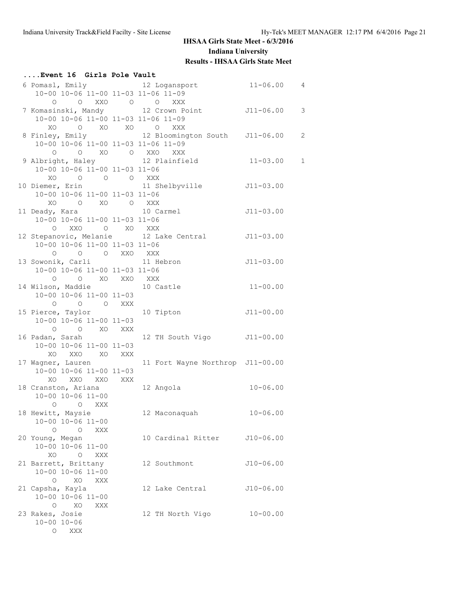# **....Event 16 Girls Pole Vault**

| 10-00 10-06 11-00 11-03 11-06 11-09      | 6 Pomasl, Emily 12 Logansport 11-06.00 4         |               |               |
|------------------------------------------|--------------------------------------------------|---------------|---------------|
| 0 0 XXO 0 0 XXX                          |                                                  |               |               |
|                                          | 7 Komasinski, Mandy 12 Crown Point 111-06.00     |               | $\mathcal{E}$ |
| 10-00 10-06 11-00 11-03 11-06 11-09      |                                                  |               |               |
|                                          |                                                  |               |               |
| XO O XO XO O XXX                         |                                                  |               |               |
|                                          | 8 Finley, Emily 12 Bloomington South J11-06.00   |               | 2             |
| 10-00 10-06 11-00 11-03 11-06 11-09      |                                                  |               |               |
| 0 0 XO 0 XXO XXX                         |                                                  |               |               |
|                                          | 9 Albright, Haley 12 Plainfield 11-03.00         |               | $\mathbf{1}$  |
| 10-00 10-06 11-00 11-03 11-06            |                                                  |               |               |
| $XO$ $O$ $O$ $O$ $XXX$                   |                                                  |               |               |
|                                          | 10 Diemer, Erin 11 Shelbyville 511-03.00         |               |               |
| 10-00 10-06 11-00 11-03 11-06            |                                                  |               |               |
| XO O XO O XXX                            |                                                  |               |               |
|                                          |                                                  |               |               |
|                                          |                                                  |               |               |
| 10-00 10-06 11-00 11-03 11-06            |                                                  |               |               |
|                                          |                                                  |               |               |
|                                          | 12 Stepanovic, Melanie 12 Lake Central 511-03.00 |               |               |
| 10-00 10-06 11-00 11-03 11-06            |                                                  |               |               |
| O O O XXO XXX                            |                                                  |               |               |
| 13 Sowonik, Carli 11 Hebron              |                                                  | $J11-03.00$   |               |
| 10-00 10-06 11-00 11-03 11-06            |                                                  |               |               |
| O O XO XXO XXX                           |                                                  |               |               |
| 14 Wilson, Maddie 10 Castle              |                                                  | $11 - 00.00$  |               |
| 10-00 10-06 11-00 11-03                  |                                                  |               |               |
| O O O XXX                                |                                                  |               |               |
|                                          |                                                  |               |               |
| 15 Pierce, Taylor 10 Tipton              |                                                  | $J11 - 00.00$ |               |
| 10-00 10-06 11-00 11-03                  |                                                  |               |               |
| O O XO XXX                               |                                                  |               |               |
| 16 Padan, Sarah                          | 12 TH South Vigo J11-00.00                       |               |               |
| 10-00 10-06 11-00 11-03                  |                                                  |               |               |
| XO XXO XO XXX                            |                                                  |               |               |
| 17 Wagner, Lauren                        | 11 Fort Wayne Northrop J11-00.00                 |               |               |
| 10-00 10-06 11-00 11-03                  |                                                  |               |               |
| XO XXO XXO XXX                           |                                                  |               |               |
|                                          | 12 Angola $10-06.00$                             |               |               |
| 18 Cranston, Ariana<br>10-00 10-06 11-00 |                                                  |               |               |
| O O XXX                                  |                                                  |               |               |
|                                          |                                                  |               |               |
| 18 Hewitt, Maysie                        | 12 Maconaquah 10-06.00                           |               |               |
| 10-00 10-06 11-00                        |                                                  |               |               |
| $\circ$<br>XXX<br>$\circ$                |                                                  |               |               |
| 20 Young, Megan                          | 10 Cardinal Ritter                               | $J10-06.00$   |               |
| 10-00 10-06 11-00                        |                                                  |               |               |
| O XXX<br>XO.                             |                                                  |               |               |
| 21 Barrett, Brittany                     | 12 Southmont                                     | $J10-06.00$   |               |
| 10-00 10-06 11-00                        |                                                  |               |               |
| $\circ$<br>XO<br>XXX                     |                                                  |               |               |
| 21 Capsha, Kayla                         | 12 Lake Central                                  | $J10-06.00$   |               |
| 10-00 10-06 11-00                        |                                                  |               |               |
|                                          |                                                  |               |               |
| $\circ$<br>XO<br>XXX                     |                                                  |               |               |
| 23 Rakes, Josie                          | 12 TH North Vigo                                 | $10 - 00.00$  |               |
| $10 - 00 10 - 06$                        |                                                  |               |               |
| O XXX                                    |                                                  |               |               |